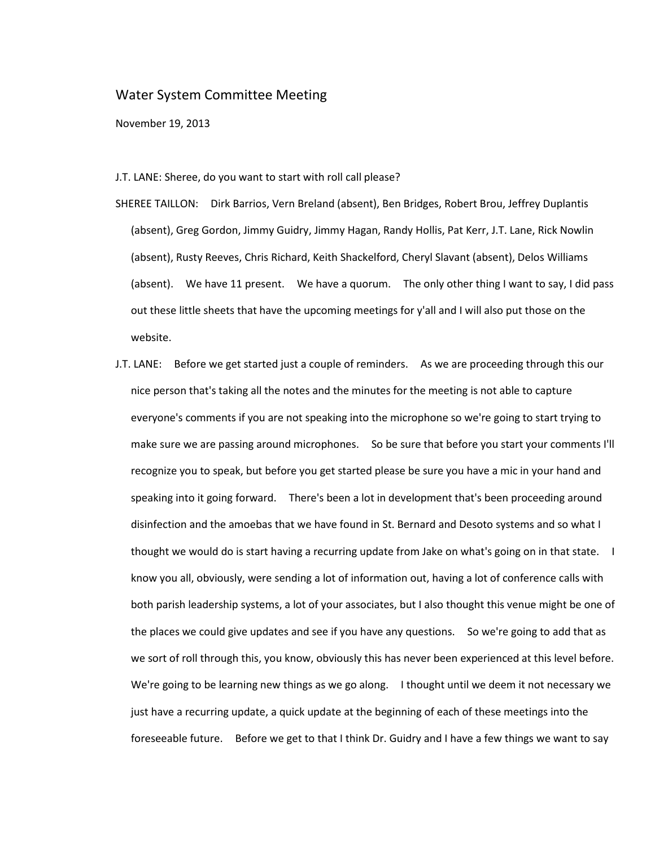## Water System Committee Meeting

November 19, 2013

## J.T. LANE: Sheree, do you want to start with roll call please?

- SHEREE TAILLON: Dirk Barrios, Vern Breland (absent), Ben Bridges, Robert Brou, Jeffrey Duplantis (absent), Greg Gordon, Jimmy Guidry, Jimmy Hagan, Randy Hollis, Pat Kerr, J.T. Lane, Rick Nowlin (absent), Rusty Reeves, Chris Richard, Keith Shackelford, Cheryl Slavant (absent), Delos Williams (absent). We have 11 present. We have a quorum. The only other thing I want to say, I did pass out these little sheets that have the upcoming meetings for y'all and I will also put those on the website.
- J.T. LANE: Before we get started just a couple of reminders. As we are proceeding through this our nice person that's taking all the notes and the minutes for the meeting is not able to capture everyone's comments if you are not speaking into the microphone so we're going to start trying to make sure we are passing around microphones. So be sure that before you start your comments I'll recognize you to speak, but before you get started please be sure you have a mic in your hand and speaking into it going forward. There's been a lot in development that's been proceeding around disinfection and the amoebas that we have found in St. Bernard and Desoto systems and so what I thought we would do is start having a recurring update from Jake on what's going on in that state. I know you all, obviously, were sending a lot of information out, having a lot of conference calls with both parish leadership systems, a lot of your associates, but I also thought this venue might be one of the places we could give updates and see if you have any questions. So we're going to add that as we sort of roll through this, you know, obviously this has never been experienced at this level before. We're going to be learning new things as we go along. I thought until we deem it not necessary we just have a recurring update, a quick update at the beginning of each of these meetings into the foreseeable future. Before we get to that I think Dr. Guidry and I have a few things we want to say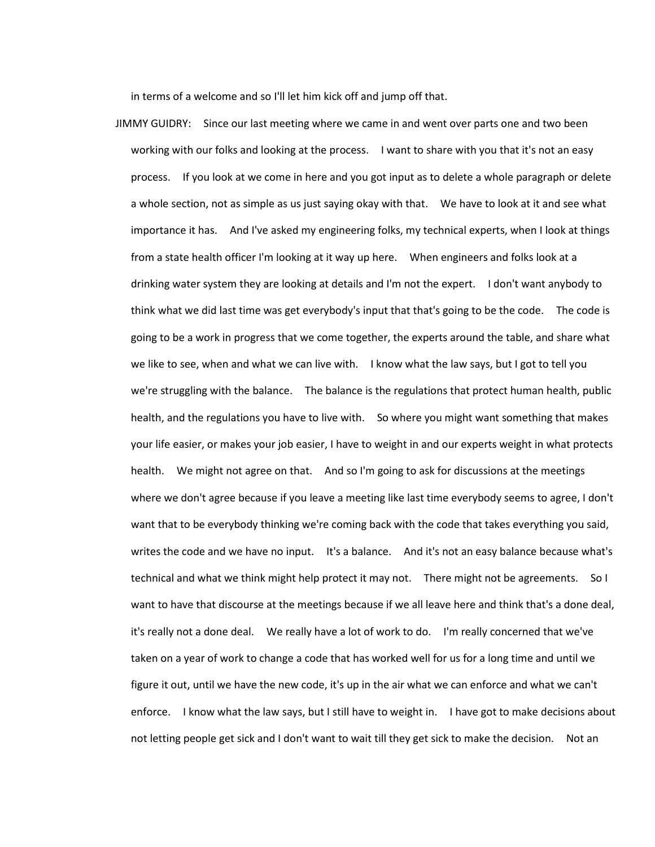in terms of a welcome and so I'll let him kick off and jump off that.

JIMMY GUIDRY: Since our last meeting where we came in and went over parts one and two been working with our folks and looking at the process. I want to share with you that it's not an easy process. If you look at we come in here and you got input as to delete a whole paragraph or delete a whole section, not as simple as us just saying okay with that. We have to look at it and see what importance it has. And I've asked my engineering folks, my technical experts, when I look at things from a state health officer I'm looking at it way up here. When engineers and folks look at a drinking water system they are looking at details and I'm not the expert. I don't want anybody to think what we did last time was get everybody's input that that's going to be the code. The code is going to be a work in progress that we come together, the experts around the table, and share what we like to see, when and what we can live with. I know what the law says, but I got to tell you we're struggling with the balance. The balance is the regulations that protect human health, public health, and the regulations you have to live with. So where you might want something that makes your life easier, or makes your job easier, I have to weight in and our experts weight in what protects health. We might not agree on that. And so I'm going to ask for discussions at the meetings where we don't agree because if you leave a meeting like last time everybody seems to agree, I don't want that to be everybody thinking we're coming back with the code that takes everything you said, writes the code and we have no input. It's a balance. And it's not an easy balance because what's technical and what we think might help protect it may not. There might not be agreements. So I want to have that discourse at the meetings because if we all leave here and think that's a done deal, it's really not a done deal. We really have a lot of work to do. I'm really concerned that we've taken on a year of work to change a code that has worked well for us for a long time and until we figure it out, until we have the new code, it's up in the air what we can enforce and what we can't enforce. I know what the law says, but I still have to weight in. I have got to make decisions about not letting people get sick and I don't want to wait till they get sick to make the decision. Not an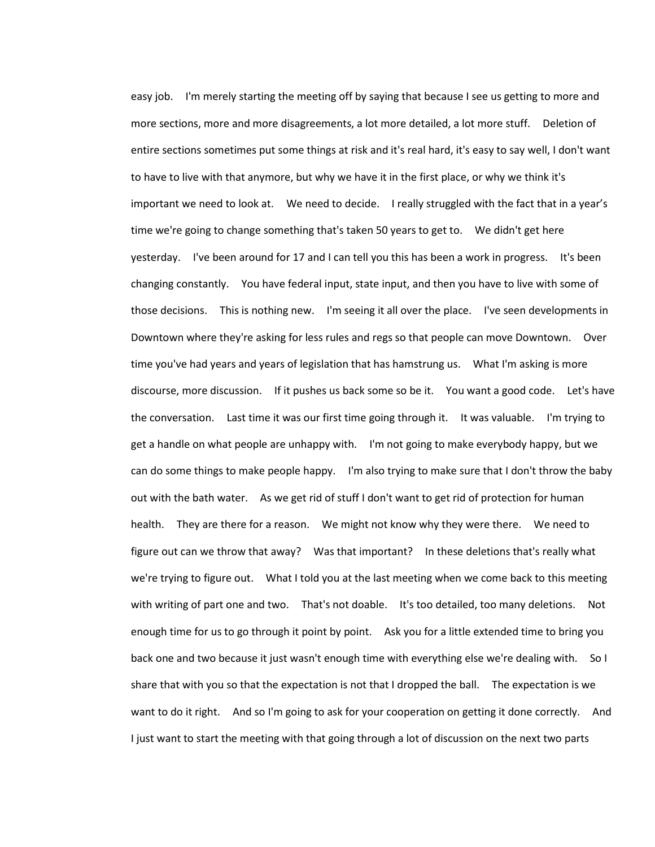easy job. I'm merely starting the meeting off by saying that because I see us getting to more and more sections, more and more disagreements, a lot more detailed, a lot more stuff. Deletion of entire sections sometimes put some things at risk and it's real hard, it's easy to say well, I don't want to have to live with that anymore, but why we have it in the first place, or why we think it's important we need to look at. We need to decide. I really struggled with the fact that in a year's time we're going to change something that's taken 50 years to get to. We didn't get here yesterday. I've been around for 17 and I can tell you this has been a work in progress. It's been changing constantly. You have federal input, state input, and then you have to live with some of those decisions. This is nothing new. I'm seeing it all over the place. I've seen developments in Downtown where they're asking for less rules and regs so that people can move Downtown. Over time you've had years and years of legislation that has hamstrung us. What I'm asking is more discourse, more discussion. If it pushes us back some so be it. You want a good code. Let's have the conversation. Last time it was our first time going through it. It was valuable. I'm trying to get a handle on what people are unhappy with. I'm not going to make everybody happy, but we can do some things to make people happy. I'm also trying to make sure that I don't throw the baby out with the bath water. As we get rid of stuff I don't want to get rid of protection for human health. They are there for a reason. We might not know why they were there. We need to figure out can we throw that away? Was that important? In these deletions that's really what we're trying to figure out. What I told you at the last meeting when we come back to this meeting with writing of part one and two. That's not doable. It's too detailed, too many deletions. Not enough time for us to go through it point by point. Ask you for a little extended time to bring you back one and two because it just wasn't enough time with everything else we're dealing with. So I share that with you so that the expectation is not that I dropped the ball. The expectation is we want to do it right. And so I'm going to ask for your cooperation on getting it done correctly. And I just want to start the meeting with that going through a lot of discussion on the next two parts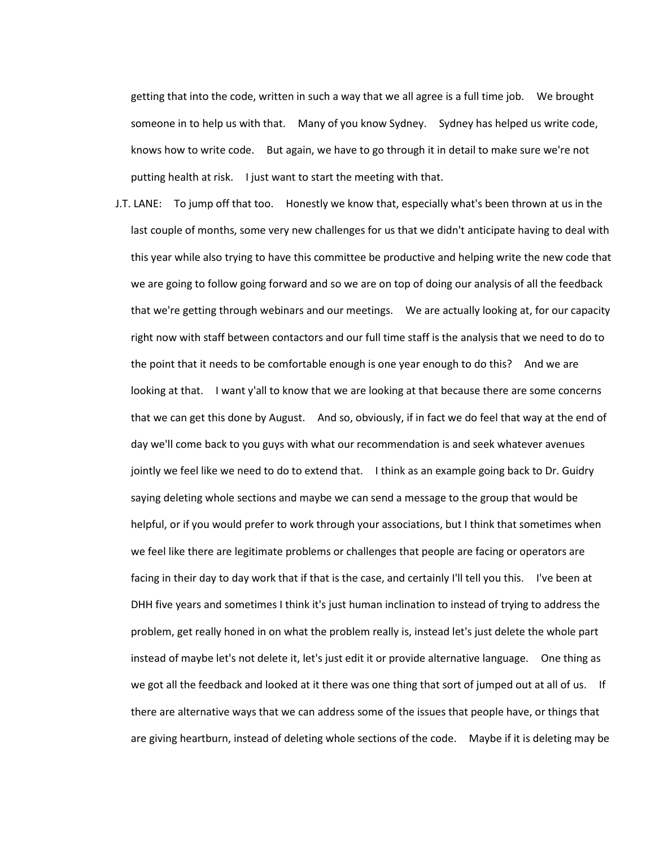getting that into the code, written in such a way that we all agree is a full time job. We brought someone in to help us with that. Many of you know Sydney. Sydney has helped us write code, knows how to write code. But again, we have to go through it in detail to make sure we're not putting health at risk. I just want to start the meeting with that.

J.T. LANE: To jump off that too. Honestly we know that, especially what's been thrown at us in the last couple of months, some very new challenges for us that we didn't anticipate having to deal with this year while also trying to have this committee be productive and helping write the new code that we are going to follow going forward and so we are on top of doing our analysis of all the feedback that we're getting through webinars and our meetings. We are actually looking at, for our capacity right now with staff between contactors and our full time staff is the analysis that we need to do to the point that it needs to be comfortable enough is one year enough to do this? And we are looking at that. I want y'all to know that we are looking at that because there are some concerns that we can get this done by August. And so, obviously, if in fact we do feel that way at the end of day we'll come back to you guys with what our recommendation is and seek whatever avenues jointly we feel like we need to do to extend that. I think as an example going back to Dr. Guidry saying deleting whole sections and maybe we can send a message to the group that would be helpful, or if you would prefer to work through your associations, but I think that sometimes when we feel like there are legitimate problems or challenges that people are facing or operators are facing in their day to day work that if that is the case, and certainly I'll tell you this. I've been at DHH five years and sometimes I think it's just human inclination to instead of trying to address the problem, get really honed in on what the problem really is, instead let's just delete the whole part instead of maybe let's not delete it, let's just edit it or provide alternative language. One thing as we got all the feedback and looked at it there was one thing that sort of jumped out at all of us. If there are alternative ways that we can address some of the issues that people have, or things that are giving heartburn, instead of deleting whole sections of the code. Maybe if it is deleting may be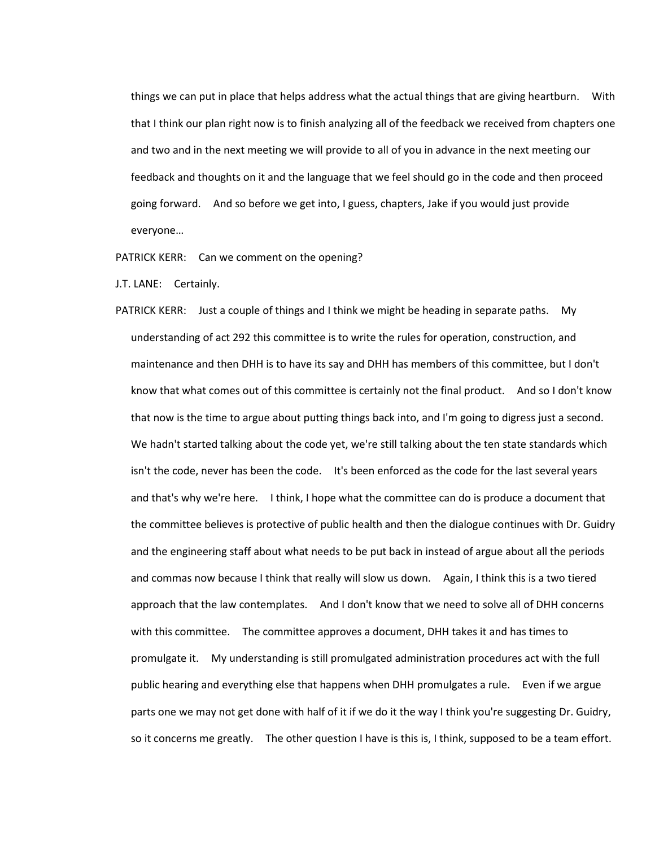things we can put in place that helps address what the actual things that are giving heartburn. With that I think our plan right now is to finish analyzing all of the feedback we received from chapters one and two and in the next meeting we will provide to all of you in advance in the next meeting our feedback and thoughts on it and the language that we feel should go in the code and then proceed going forward. And so before we get into, I guess, chapters, Jake if you would just provide everyone…

PATRICK KERR: Can we comment on the opening?

J.T. LANE: Certainly.

PATRICK KERR: Just a couple of things and I think we might be heading in separate paths. My understanding of act 292 this committee is to write the rules for operation, construction, and maintenance and then DHH is to have its say and DHH has members of this committee, but I don't know that what comes out of this committee is certainly not the final product. And so I don't know that now is the time to argue about putting things back into, and I'm going to digress just a second. We hadn't started talking about the code yet, we're still talking about the ten state standards which isn't the code, never has been the code. It's been enforced as the code for the last several years and that's why we're here. I think, I hope what the committee can do is produce a document that the committee believes is protective of public health and then the dialogue continues with Dr. Guidry and the engineering staff about what needs to be put back in instead of argue about all the periods and commas now because I think that really will slow us down. Again, I think this is a two tiered approach that the law contemplates. And I don't know that we need to solve all of DHH concerns with this committee. The committee approves a document, DHH takes it and has times to promulgate it. My understanding is still promulgated administration procedures act with the full public hearing and everything else that happens when DHH promulgates a rule. Even if we argue parts one we may not get done with half of it if we do it the way I think you're suggesting Dr. Guidry, so it concerns me greatly. The other question I have is this is, I think, supposed to be a team effort.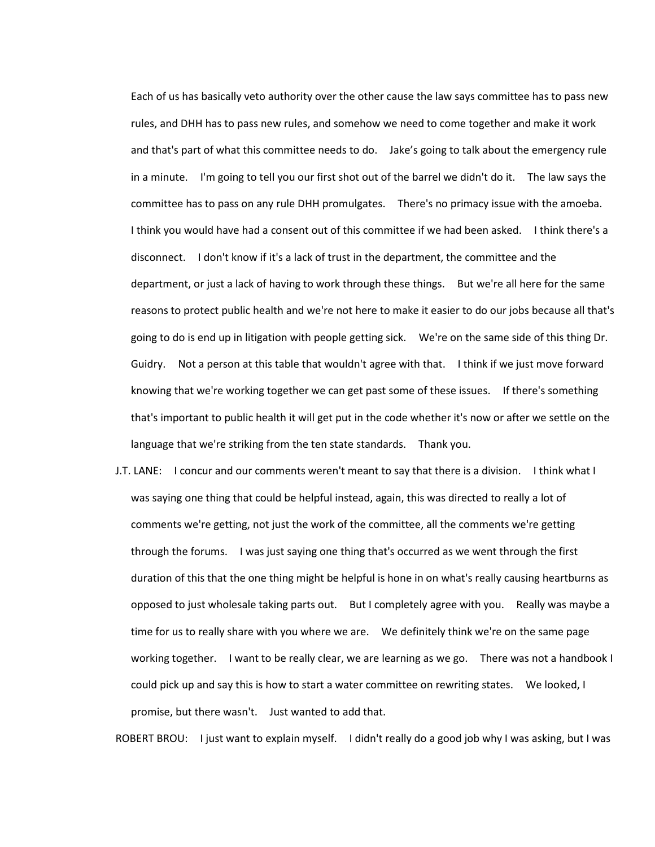Each of us has basically veto authority over the other cause the law says committee has to pass new rules, and DHH has to pass new rules, and somehow we need to come together and make it work and that's part of what this committee needs to do. Jake's going to talk about the emergency rule in a minute. I'm going to tell you our first shot out of the barrel we didn't do it. The law says the committee has to pass on any rule DHH promulgates. There's no primacy issue with the amoeba. I think you would have had a consent out of this committee if we had been asked. I think there's a disconnect. I don't know if it's a lack of trust in the department, the committee and the department, or just a lack of having to work through these things. But we're all here for the same reasons to protect public health and we're not here to make it easier to do our jobs because all that's going to do is end up in litigation with people getting sick. We're on the same side of this thing Dr. Guidry. Not a person at this table that wouldn't agree with that. I think if we just move forward knowing that we're working together we can get past some of these issues. If there's something that's important to public health it will get put in the code whether it's now or after we settle on the language that we're striking from the ten state standards. Thank you.

J.T. LANE: I concur and our comments weren't meant to say that there is a division. I think what I was saying one thing that could be helpful instead, again, this was directed to really a lot of comments we're getting, not just the work of the committee, all the comments we're getting through the forums. I was just saying one thing that's occurred as we went through the first duration of this that the one thing might be helpful is hone in on what's really causing heartburns as opposed to just wholesale taking parts out. But I completely agree with you. Really was maybe a time for us to really share with you where we are. We definitely think we're on the same page working together. I want to be really clear, we are learning as we go. There was not a handbook I could pick up and say this is how to start a water committee on rewriting states. We looked, I promise, but there wasn't. Just wanted to add that.

ROBERT BROU: I just want to explain myself. I didn't really do a good job why I was asking, but I was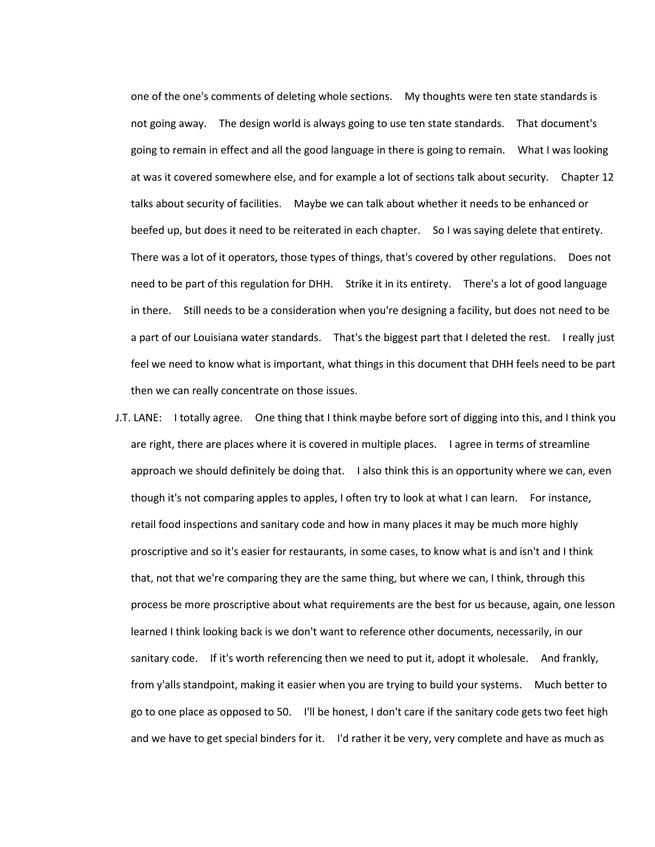one of the one's comments of deleting whole sections. My thoughts were ten state standards is not going away. The design world is always going to use ten state standards. That document's going to remain in effect and all the good language in there is going to remain. What I was looking at was it covered somewhere else, and for example a lot of sections talk about security. Chapter 12 talks about security of facilities. Maybe we can talk about whether it needs to be enhanced or beefed up, but does it need to be reiterated in each chapter. So I was saying delete that entirety. There was a lot of it operators, those types of things, that's covered by other regulations. Does not need to be part of this regulation for DHH. Strike it in its entirety. There's a lot of good language in there. Still needs to be a consideration when you're designing a facility, but does not need to be a part of our Louisiana water standards. That's the biggest part that I deleted the rest. I really just feel we need to know what is important, what things in this document that DHH feels need to be part then we can really concentrate on those issues.

J.T. LANE: I totally agree. One thing that I think maybe before sort of digging into this, and I think you are right, there are places where it is covered in multiple places. I agree in terms of streamline approach we should definitely be doing that. I also think this is an opportunity where we can, even though it's not comparing apples to apples, I often try to look at what I can learn. For instance, retail food inspections and sanitary code and how in many places it may be much more highly proscriptive and so it's easier for restaurants, in some cases, to know what is and isn't and I think that, not that we're comparing they are the same thing, but where we can, I think, through this process be more proscriptive about what requirements are the best for us because, again, one lesson learned I think looking back is we don't want to reference other documents, necessarily, in our sanitary code. If it's worth referencing then we need to put it, adopt it wholesale. And frankly, from y'alls standpoint, making it easier when you are trying to build your systems. Much better to go to one place as opposed to 50. I'll be honest, I don't care if the sanitary code gets two feet high and we have to get special binders for it. I'd rather it be very, very complete and have as much as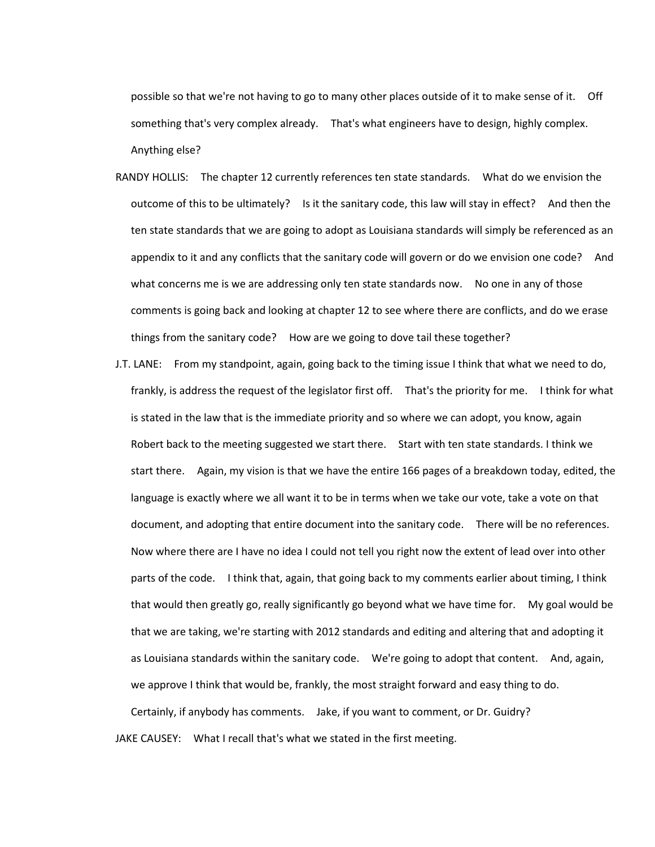possible so that we're not having to go to many other places outside of it to make sense of it. Off something that's very complex already. That's what engineers have to design, highly complex. Anything else?

- RANDY HOLLIS: The chapter 12 currently references ten state standards. What do we envision the outcome of this to be ultimately? Is it the sanitary code, this law will stay in effect? And then the ten state standards that we are going to adopt as Louisiana standards will simply be referenced as an appendix to it and any conflicts that the sanitary code will govern or do we envision one code? And what concerns me is we are addressing only ten state standards now. No one in any of those comments is going back and looking at chapter 12 to see where there are conflicts, and do we erase things from the sanitary code? How are we going to dove tail these together?
- J.T. LANE: From my standpoint, again, going back to the timing issue I think that what we need to do, frankly, is address the request of the legislator first off. That's the priority for me. I think for what is stated in the law that is the immediate priority and so where we can adopt, you know, again Robert back to the meeting suggested we start there. Start with ten state standards. I think we start there. Again, my vision is that we have the entire 166 pages of a breakdown today, edited, the language is exactly where we all want it to be in terms when we take our vote, take a vote on that document, and adopting that entire document into the sanitary code. There will be no references. Now where there are I have no idea I could not tell you right now the extent of lead over into other parts of the code. I think that, again, that going back to my comments earlier about timing, I think that would then greatly go, really significantly go beyond what we have time for. My goal would be that we are taking, we're starting with 2012 standards and editing and altering that and adopting it as Louisiana standards within the sanitary code. We're going to adopt that content. And, again, we approve I think that would be, frankly, the most straight forward and easy thing to do.

Certainly, if anybody has comments. Jake, if you want to comment, or Dr. Guidry? JAKE CAUSEY: What I recall that's what we stated in the first meeting.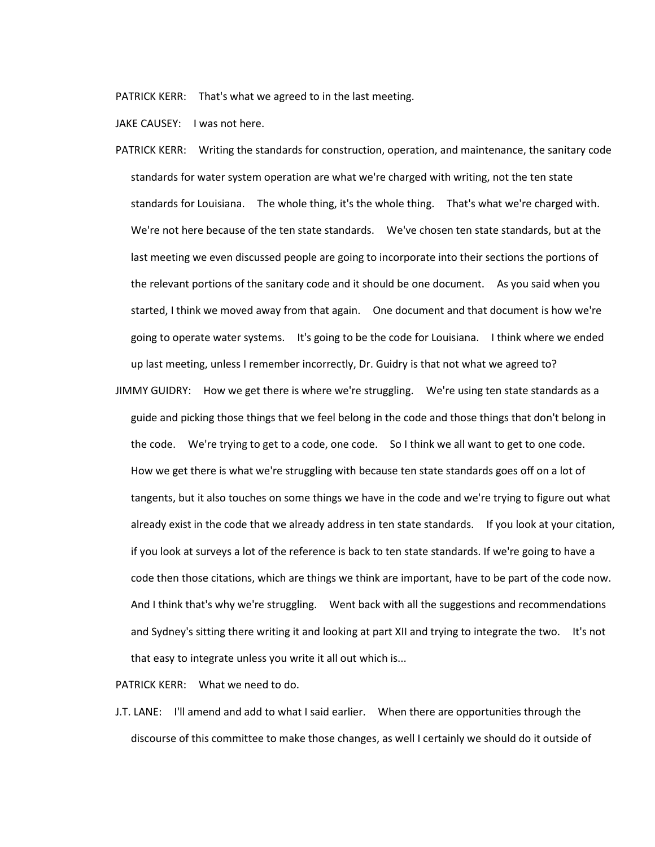PATRICK KERR: That's what we agreed to in the last meeting.

JAKE CAUSEY: I was not here.

- PATRICK KERR: Writing the standards for construction, operation, and maintenance, the sanitary code standards for water system operation are what we're charged with writing, not the ten state standards for Louisiana. The whole thing, it's the whole thing. That's what we're charged with. We're not here because of the ten state standards. We've chosen ten state standards, but at the last meeting we even discussed people are going to incorporate into their sections the portions of the relevant portions of the sanitary code and it should be one document. As you said when you started, I think we moved away from that again. One document and that document is how we're going to operate water systems. It's going to be the code for Louisiana. I think where we ended up last meeting, unless I remember incorrectly, Dr. Guidry is that not what we agreed to?
- JIMMY GUIDRY: How we get there is where we're struggling. We're using ten state standards as a guide and picking those things that we feel belong in the code and those things that don't belong in the code. We're trying to get to a code, one code. So I think we all want to get to one code. How we get there is what we're struggling with because ten state standards goes off on a lot of tangents, but it also touches on some things we have in the code and we're trying to figure out what already exist in the code that we already address in ten state standards. If you look at your citation, if you look at surveys a lot of the reference is back to ten state standards. If we're going to have a code then those citations, which are things we think are important, have to be part of the code now. And I think that's why we're struggling. Went back with all the suggestions and recommendations and Sydney's sitting there writing it and looking at part XII and trying to integrate the two. It's not that easy to integrate unless you write it all out which is...

PATRICK KERR: What we need to do.

J.T. LANE: I'll amend and add to what I said earlier. When there are opportunities through the discourse of this committee to make those changes, as well I certainly we should do it outside of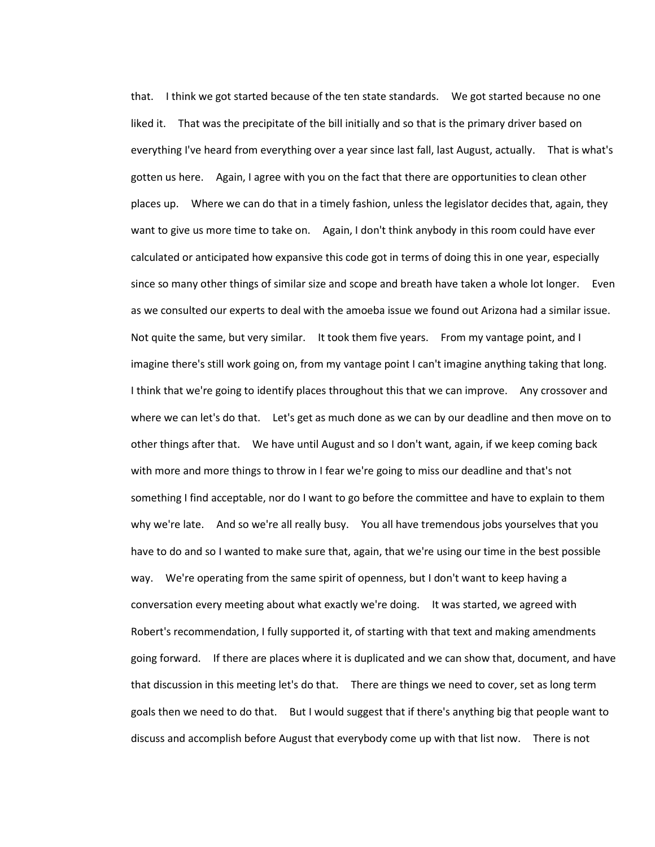that. I think we got started because of the ten state standards. We got started because no one liked it. That was the precipitate of the bill initially and so that is the primary driver based on everything I've heard from everything over a year since last fall, last August, actually. That is what's gotten us here. Again, I agree with you on the fact that there are opportunities to clean other places up. Where we can do that in a timely fashion, unless the legislator decides that, again, they want to give us more time to take on. Again, I don't think anybody in this room could have ever calculated or anticipated how expansive this code got in terms of doing this in one year, especially since so many other things of similar size and scope and breath have taken a whole lot longer. Even as we consulted our experts to deal with the amoeba issue we found out Arizona had a similar issue. Not quite the same, but very similar. It took them five years. From my vantage point, and I imagine there's still work going on, from my vantage point I can't imagine anything taking that long. I think that we're going to identify places throughout this that we can improve. Any crossover and where we can let's do that. Let's get as much done as we can by our deadline and then move on to other things after that. We have until August and so I don't want, again, if we keep coming back with more and more things to throw in I fear we're going to miss our deadline and that's not something I find acceptable, nor do I want to go before the committee and have to explain to them why we're late. And so we're all really busy. You all have tremendous jobs yourselves that you have to do and so I wanted to make sure that, again, that we're using our time in the best possible way. We're operating from the same spirit of openness, but I don't want to keep having a conversation every meeting about what exactly we're doing. It was started, we agreed with Robert's recommendation, I fully supported it, of starting with that text and making amendments going forward. If there are places where it is duplicated and we can show that, document, and have that discussion in this meeting let's do that. There are things we need to cover, set as long term goals then we need to do that. But I would suggest that if there's anything big that people want to discuss and accomplish before August that everybody come up with that list now. There is not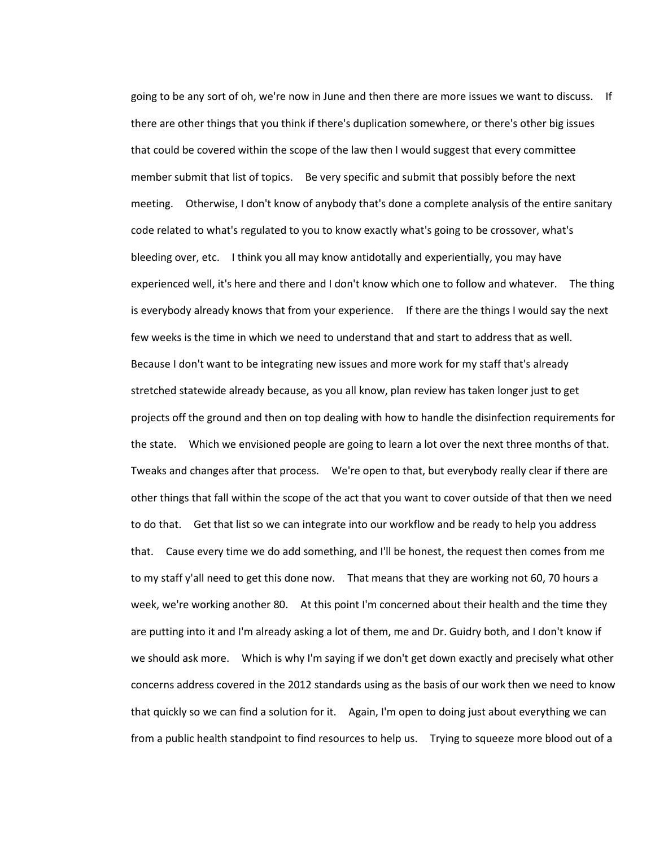going to be any sort of oh, we're now in June and then there are more issues we want to discuss. If there are other things that you think if there's duplication somewhere, or there's other big issues that could be covered within the scope of the law then I would suggest that every committee member submit that list of topics. Be very specific and submit that possibly before the next meeting. Otherwise, I don't know of anybody that's done a complete analysis of the entire sanitary code related to what's regulated to you to know exactly what's going to be crossover, what's bleeding over, etc. I think you all may know antidotally and experientially, you may have experienced well, it's here and there and I don't know which one to follow and whatever. The thing is everybody already knows that from your experience. If there are the things I would say the next few weeks is the time in which we need to understand that and start to address that as well. Because I don't want to be integrating new issues and more work for my staff that's already stretched statewide already because, as you all know, plan review has taken longer just to get projects off the ground and then on top dealing with how to handle the disinfection requirements for the state. Which we envisioned people are going to learn a lot over the next three months of that. Tweaks and changes after that process. We're open to that, but everybody really clear if there are other things that fall within the scope of the act that you want to cover outside of that then we need to do that. Get that list so we can integrate into our workflow and be ready to help you address that. Cause every time we do add something, and I'll be honest, the request then comes from me to my staff y'all need to get this done now. That means that they are working not 60, 70 hours a week, we're working another 80. At this point I'm concerned about their health and the time they are putting into it and I'm already asking a lot of them, me and Dr. Guidry both, and I don't know if we should ask more. Which is why I'm saying if we don't get down exactly and precisely what other concerns address covered in the 2012 standards using as the basis of our work then we need to know that quickly so we can find a solution for it. Again, I'm open to doing just about everything we can from a public health standpoint to find resources to help us. Trying to squeeze more blood out of a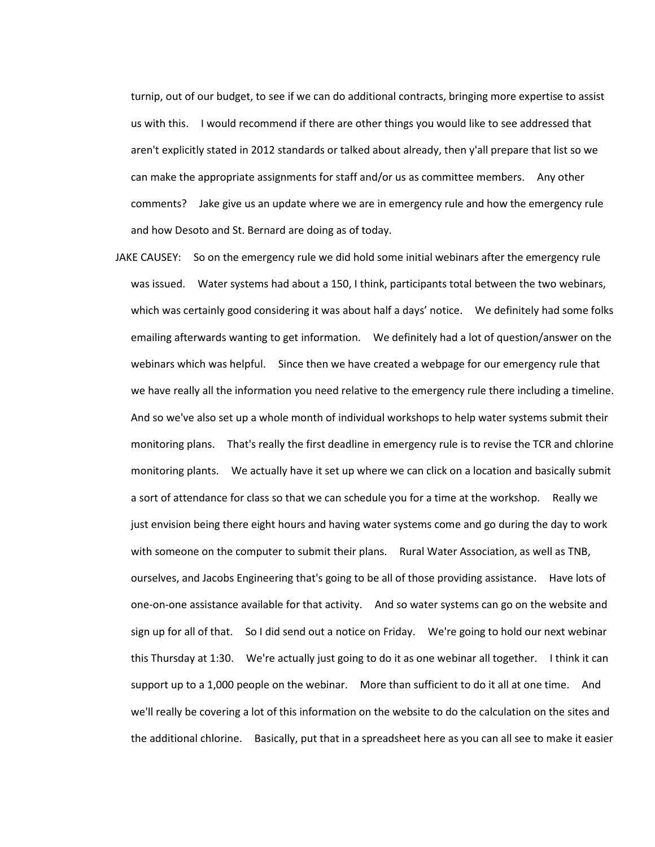turnip, out of our budget, to see if we can do additional contracts, bringing more expertise to assist us with this. I would recommend if there are other things you would like to see addressed that aren't explicitly stated in 2012 standards or talked about already, then y'all prepare that list so we can make the appropriate assignments for staff and/or us as committee members. Any other comments? Jake give us an update where we are in emergency rule and how the emergency rule and how Desoto and St. Bernard are doing as of today.

JAKE CAUSEY: So on the emergency rule we did hold some initial webinars after the emergency rule was issued. Water systems had about a 150, I think, participants total between the two webinars, which was certainly good considering it was about half a days' notice. We definitely had some folks emailing afterwards wanting to get information. We definitely had a lot of question/answer on the webinars which was helpful. Since then we have created a webpage for our emergency rule that we have really all the information you need relative to the emergency rule there including a timeline. And so we've also set up a whole month of individual workshops to help water systems submit their monitoring plans. That's really the first deadline in emergency rule is to revise the TCR and chlorine monitoring plants. We actually have it set up where we can click on a location and basically submit a sort of attendance for class so that we can schedule you for a time at the workshop. Really we just envision being there eight hours and having water systems come and go during the day to work with someone on the computer to submit their plans. Rural Water Association, as well as TNB, ourselves, and Jacobs Engineering that's going to be all of those providing assistance. Have lots of one-on-one assistance available for that activity. And so water systems can go on the website and sign up for all of that. So I did send out a notice on Friday. We're going to hold our next webinar this Thursday at 1:30. We're actually just going to do it as one webinar all together. I think it can support up to a 1,000 people on the webinar. More than sufficient to do it all at one time. And we'll really be covering a lot of this information on the website to do the calculation on the sites and the additional chlorine. Basically, put that in a spreadsheet here as you can all see to make it easier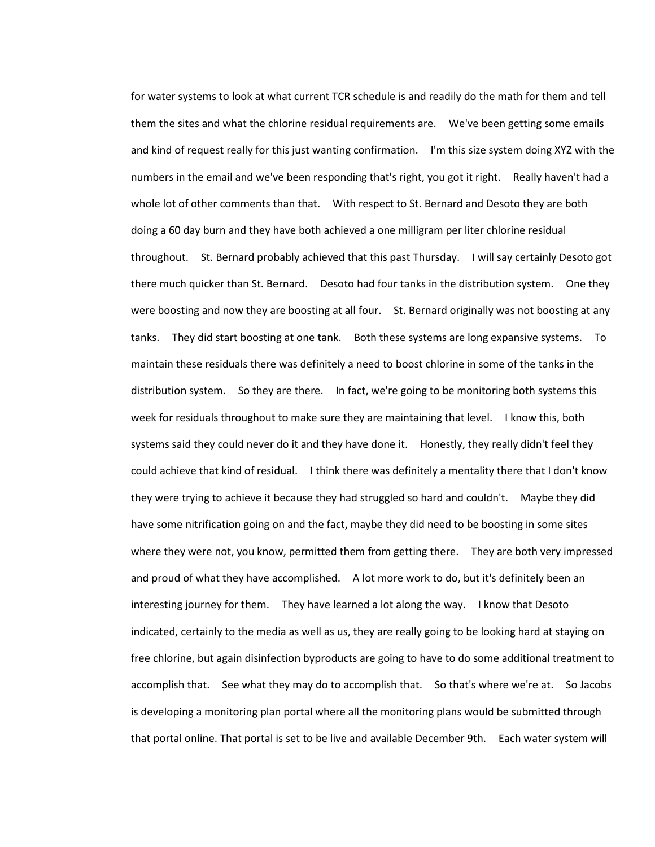for water systems to look at what current TCR schedule is and readily do the math for them and tell them the sites and what the chlorine residual requirements are. We've been getting some emails and kind of request really for this just wanting confirmation. I'm this size system doing XYZ with the numbers in the email and we've been responding that's right, you got it right. Really haven't had a whole lot of other comments than that. With respect to St. Bernard and Desoto they are both doing a 60 day burn and they have both achieved a one milligram per liter chlorine residual throughout. St. Bernard probably achieved that this past Thursday. I will say certainly Desoto got there much quicker than St. Bernard. Desoto had four tanks in the distribution system. One they were boosting and now they are boosting at all four. St. Bernard originally was not boosting at any tanks. They did start boosting at one tank. Both these systems are long expansive systems. To maintain these residuals there was definitely a need to boost chlorine in some of the tanks in the distribution system. So they are there. In fact, we're going to be monitoring both systems this week for residuals throughout to make sure they are maintaining that level. I know this, both systems said they could never do it and they have done it. Honestly, they really didn't feel they could achieve that kind of residual. I think there was definitely a mentality there that I don't know they were trying to achieve it because they had struggled so hard and couldn't. Maybe they did have some nitrification going on and the fact, maybe they did need to be boosting in some sites where they were not, you know, permitted them from getting there. They are both very impressed and proud of what they have accomplished. A lot more work to do, but it's definitely been an interesting journey for them. They have learned a lot along the way. I know that Desoto indicated, certainly to the media as well as us, they are really going to be looking hard at staying on free chlorine, but again disinfection byproducts are going to have to do some additional treatment to accomplish that. See what they may do to accomplish that. So that's where we're at. So Jacobs is developing a monitoring plan portal where all the monitoring plans would be submitted through that portal online. That portal is set to be live and available December 9th. Each water system will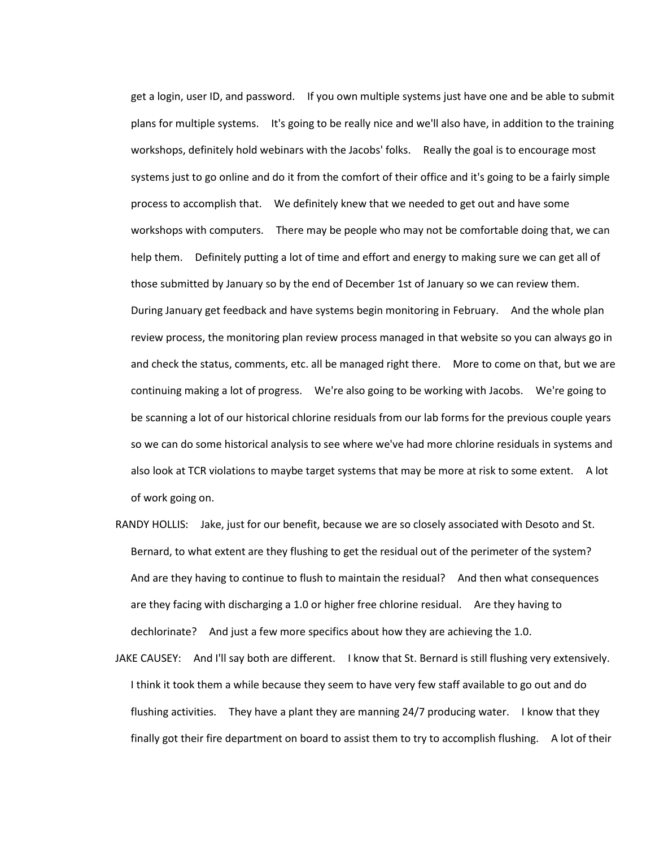get a login, user ID, and password. If you own multiple systems just have one and be able to submit plans for multiple systems. It's going to be really nice and we'll also have, in addition to the training workshops, definitely hold webinars with the Jacobs' folks. Really the goal is to encourage most systems just to go online and do it from the comfort of their office and it's going to be a fairly simple process to accomplish that. We definitely knew that we needed to get out and have some workshops with computers. There may be people who may not be comfortable doing that, we can help them. Definitely putting a lot of time and effort and energy to making sure we can get all of those submitted by January so by the end of December 1st of January so we can review them. During January get feedback and have systems begin monitoring in February. And the whole plan review process, the monitoring plan review process managed in that website so you can always go in and check the status, comments, etc. all be managed right there. More to come on that, but we are continuing making a lot of progress. We're also going to be working with Jacobs. We're going to be scanning a lot of our historical chlorine residuals from our lab forms for the previous couple years so we can do some historical analysis to see where we've had more chlorine residuals in systems and also look at TCR violations to maybe target systems that may be more at risk to some extent. A lot of work going on.

- RANDY HOLLIS: Jake, just for our benefit, because we are so closely associated with Desoto and St. Bernard, to what extent are they flushing to get the residual out of the perimeter of the system? And are they having to continue to flush to maintain the residual? And then what consequences are they facing with discharging a 1.0 or higher free chlorine residual. Are they having to dechlorinate? And just a few more specifics about how they are achieving the 1.0.
- JAKE CAUSEY: And I'll say both are different. I know that St. Bernard is still flushing very extensively. I think it took them a while because they seem to have very few staff available to go out and do flushing activities. They have a plant they are manning 24/7 producing water. I know that they finally got their fire department on board to assist them to try to accomplish flushing. A lot of their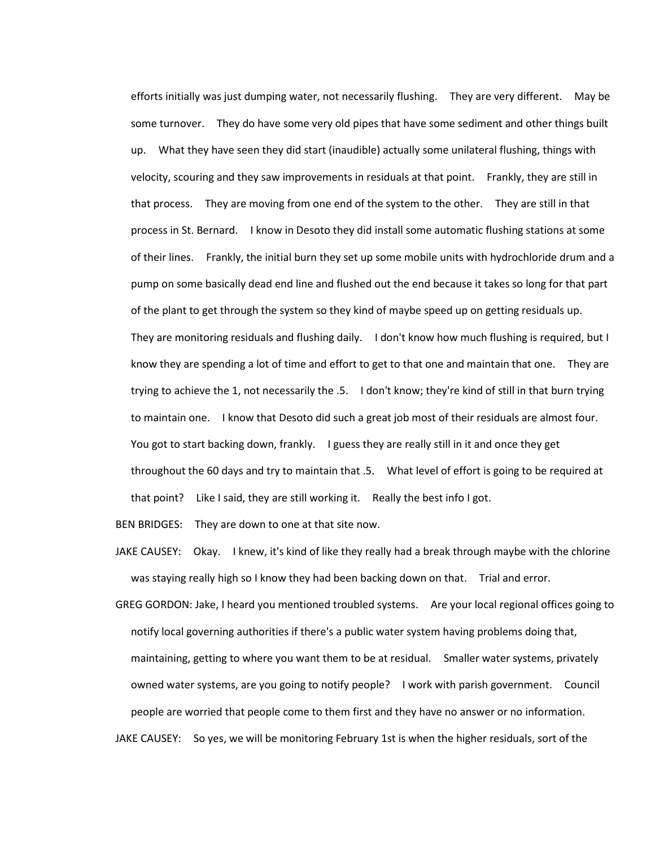efforts initially was just dumping water, not necessarily flushing. They are very different. May be some turnover. They do have some very old pipes that have some sediment and other things built up. What they have seen they did start (inaudible) actually some unilateral flushing, things with velocity, scouring and they saw improvements in residuals at that point. Frankly, they are still in that process. They are moving from one end of the system to the other. They are still in that process in St. Bernard. I know in Desoto they did install some automatic flushing stations at some of their lines. Frankly, the initial burn they set up some mobile units with hydrochloride drum and a pump on some basically dead end line and flushed out the end because it takes so long for that part of the plant to get through the system so they kind of maybe speed up on getting residuals up. They are monitoring residuals and flushing daily. I don't know how much flushing is required, but I know they are spending a lot of time and effort to get to that one and maintain that one. They are trying to achieve the 1, not necessarily the .5. I don't know; they're kind of still in that burn trying to maintain one. I know that Desoto did such a great job most of their residuals are almost four. You got to start backing down, frankly. I guess they are really still in it and once they get throughout the 60 days and try to maintain that .5. What level of effort is going to be required at that point? Like I said, they are still working it. Really the best info I got.

BEN BRIDGES: They are down to one at that site now.

- JAKE CAUSEY: Okay. I knew, it's kind of like they really had a break through maybe with the chlorine was staying really high so I know they had been backing down on that. Trial and error.
- GREG GORDON: Jake, I heard you mentioned troubled systems. Are your local regional offices going to notify local governing authorities if there's a public water system having problems doing that, maintaining, getting to where you want them to be at residual. Smaller water systems, privately owned water systems, are you going to notify people? I work with parish government. Council people are worried that people come to them first and they have no answer or no information. JAKE CAUSEY: So yes, we will be monitoring February 1st is when the higher residuals, sort of the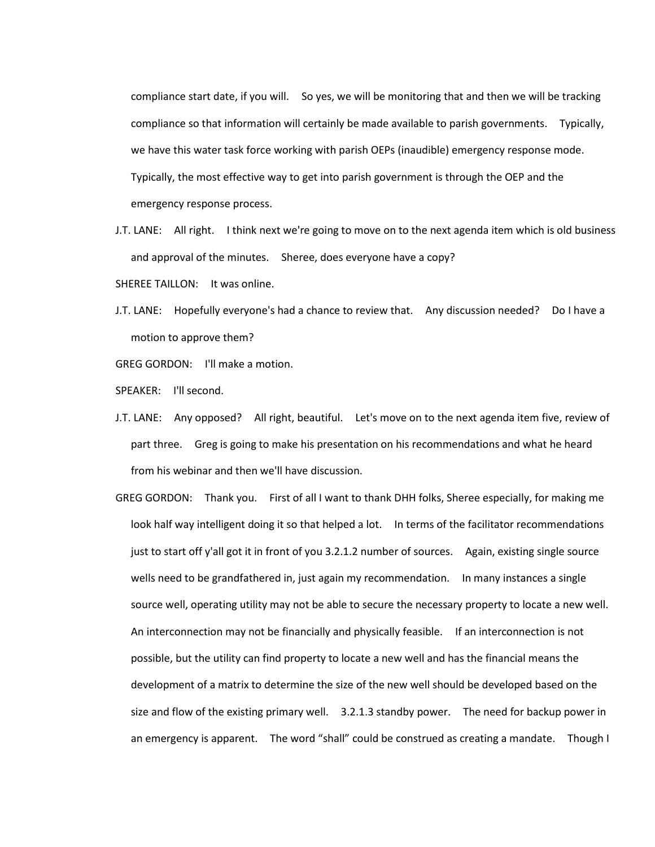compliance start date, if you will. So yes, we will be monitoring that and then we will be tracking compliance so that information will certainly be made available to parish governments. Typically, we have this water task force working with parish OEPs (inaudible) emergency response mode. Typically, the most effective way to get into parish government is through the OEP and the emergency response process.

- J.T. LANE: All right. I think next we're going to move on to the next agenda item which is old business and approval of the minutes. Sheree, does everyone have a copy?
- SHEREE TAILLON: It was online.
- J.T. LANE: Hopefully everyone's had a chance to review that. Any discussion needed? Do I have a motion to approve them?

GREG GORDON: I'll make a motion.

SPEAKER: I'll second.

- J.T. LANE: Any opposed? All right, beautiful. Let's move on to the next agenda item five, review of part three. Greg is going to make his presentation on his recommendations and what he heard from his webinar and then we'll have discussion.
- GREG GORDON: Thank you. First of all I want to thank DHH folks, Sheree especially, for making me look half way intelligent doing it so that helped a lot. In terms of the facilitator recommendations just to start off y'all got it in front of you 3.2.1.2 number of sources. Again, existing single source wells need to be grandfathered in, just again my recommendation. In many instances a single source well, operating utility may not be able to secure the necessary property to locate a new well. An interconnection may not be financially and physically feasible. If an interconnection is not possible, but the utility can find property to locate a new well and has the financial means the development of a matrix to determine the size of the new well should be developed based on the size and flow of the existing primary well. 3.2.1.3 standby power. The need for backup power in an emergency is apparent. The word "shall" could be construed as creating a mandate. Though I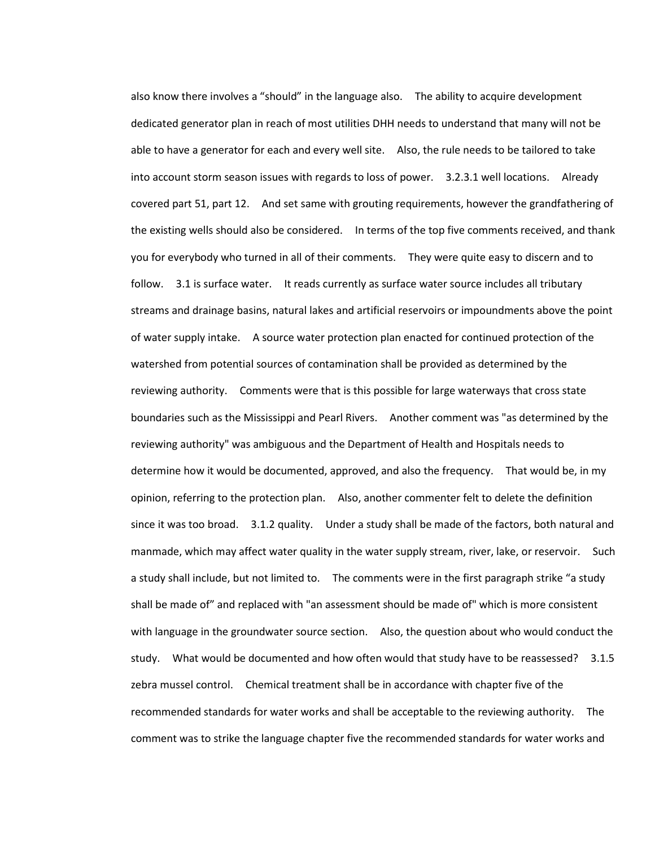also know there involves a "should" in the language also. The ability to acquire development dedicated generator plan in reach of most utilities DHH needs to understand that many will not be able to have a generator for each and every well site. Also, the rule needs to be tailored to take into account storm season issues with regards to loss of power. 3.2.3.1 well locations. Already covered part 51, part 12. And set same with grouting requirements, however the grandfathering of the existing wells should also be considered. In terms of the top five comments received, and thank you for everybody who turned in all of their comments. They were quite easy to discern and to follow. 3.1 is surface water. It reads currently as surface water source includes all tributary streams and drainage basins, natural lakes and artificial reservoirs or impoundments above the point of water supply intake. A source water protection plan enacted for continued protection of the watershed from potential sources of contamination shall be provided as determined by the reviewing authority. Comments were that is this possible for large waterways that cross state boundaries such as the Mississippi and Pearl Rivers. Another comment was "as determined by the reviewing authority" was ambiguous and the Department of Health and Hospitals needs to determine how it would be documented, approved, and also the frequency. That would be, in my opinion, referring to the protection plan. Also, another commenter felt to delete the definition since it was too broad. 3.1.2 quality. Under a study shall be made of the factors, both natural and manmade, which may affect water quality in the water supply stream, river, lake, or reservoir. Such a study shall include, but not limited to. The comments were in the first paragraph strike "a study shall be made of" and replaced with "an assessment should be made of" which is more consistent with language in the groundwater source section. Also, the question about who would conduct the study. What would be documented and how often would that study have to be reassessed? 3.1.5 zebra mussel control. Chemical treatment shall be in accordance with chapter five of the recommended standards for water works and shall be acceptable to the reviewing authority. The comment was to strike the language chapter five the recommended standards for water works and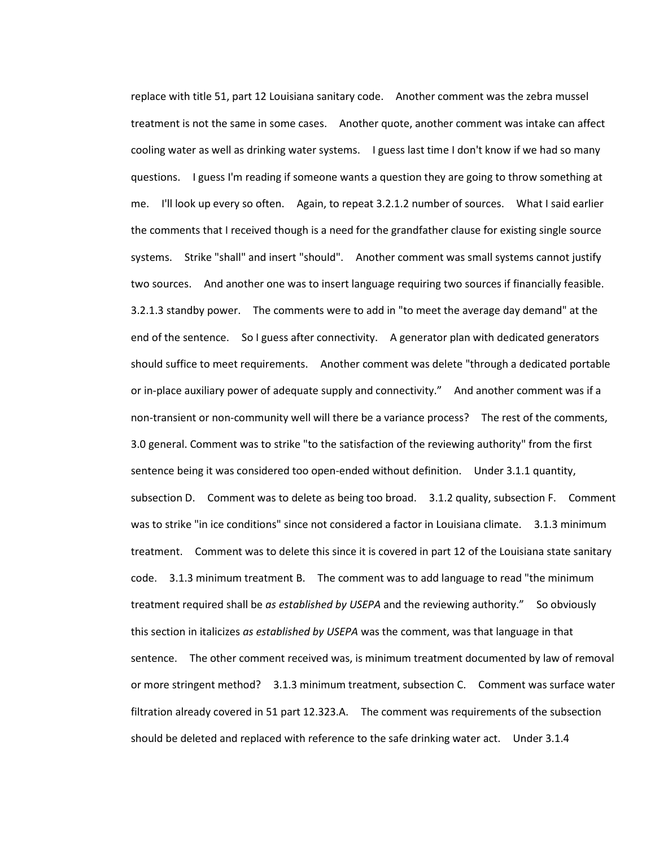replace with title 51, part 12 Louisiana sanitary code. Another comment was the zebra mussel treatment is not the same in some cases. Another quote, another comment was intake can affect cooling water as well as drinking water systems. I guess last time I don't know if we had so many questions. I guess I'm reading if someone wants a question they are going to throw something at me. I'll look up every so often. Again, to repeat 3.2.1.2 number of sources. What I said earlier the comments that I received though is a need for the grandfather clause for existing single source systems. Strike "shall" and insert "should". Another comment was small systems cannot justify two sources. And another one was to insert language requiring two sources if financially feasible. 3.2.1.3 standby power. The comments were to add in "to meet the average day demand" at the end of the sentence. So I guess after connectivity. A generator plan with dedicated generators should suffice to meet requirements. Another comment was delete "through a dedicated portable or in-place auxiliary power of adequate supply and connectivity." And another comment was if a non-transient or non-community well will there be a variance process? The rest of the comments, 3.0 general. Comment was to strike "to the satisfaction of the reviewing authority" from the first sentence being it was considered too open-ended without definition. Under 3.1.1 quantity, subsection D. Comment was to delete as being too broad. 3.1.2 quality, subsection F. Comment was to strike "in ice conditions" since not considered a factor in Louisiana climate. 3.1.3 minimum treatment. Comment was to delete this since it is covered in part 12 of the Louisiana state sanitary code. 3.1.3 minimum treatment B. The comment was to add language to read "the minimum treatment required shall be *as established by USEPA* and the reviewing authority." So obviously this section in italicizes *as established by USEPA* was the comment, was that language in that sentence. The other comment received was, is minimum treatment documented by law of removal or more stringent method? 3.1.3 minimum treatment, subsection C. Comment was surface water filtration already covered in 51 part 12.323.A. The comment was requirements of the subsection should be deleted and replaced with reference to the safe drinking water act. Under 3.1.4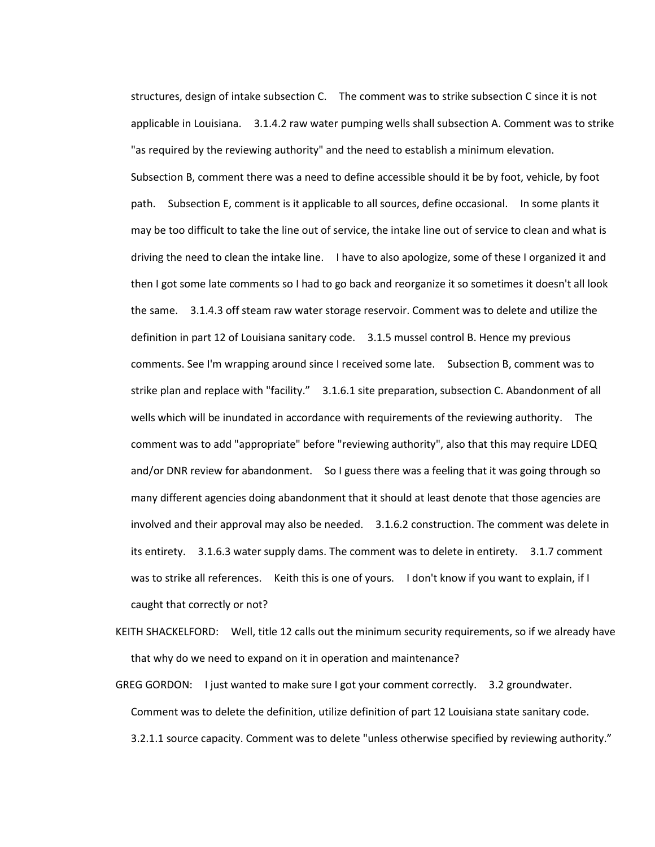structures, design of intake subsection C. The comment was to strike subsection C since it is not applicable in Louisiana. 3.1.4.2 raw water pumping wells shall subsection A. Comment was to strike "as required by the reviewing authority" and the need to establish a minimum elevation.

Subsection B, comment there was a need to define accessible should it be by foot, vehicle, by foot path. Subsection E, comment is it applicable to all sources, define occasional. In some plants it may be too difficult to take the line out of service, the intake line out of service to clean and what is driving the need to clean the intake line. I have to also apologize, some of these I organized it and then I got some late comments so I had to go back and reorganize it so sometimes it doesn't all look the same. 3.1.4.3 off steam raw water storage reservoir. Comment was to delete and utilize the definition in part 12 of Louisiana sanitary code. 3.1.5 mussel control B. Hence my previous comments. See I'm wrapping around since I received some late. Subsection B, comment was to strike plan and replace with "facility." 3.1.6.1 site preparation, subsection C. Abandonment of all wells which will be inundated in accordance with requirements of the reviewing authority. The comment was to add "appropriate" before "reviewing authority", also that this may require LDEQ and/or DNR review for abandonment. So I guess there was a feeling that it was going through so many different agencies doing abandonment that it should at least denote that those agencies are involved and their approval may also be needed. 3.1.6.2 construction. The comment was delete in its entirety. 3.1.6.3 water supply dams. The comment was to delete in entirety. 3.1.7 comment was to strike all references. Keith this is one of yours. I don't know if you want to explain, if I caught that correctly or not?

- KEITH SHACKELFORD: Well, title 12 calls out the minimum security requirements, so if we already have that why do we need to expand on it in operation and maintenance?
- GREG GORDON: I just wanted to make sure I got your comment correctly. 3.2 groundwater. Comment was to delete the definition, utilize definition of part 12 Louisiana state sanitary code. 3.2.1.1 source capacity. Comment was to delete "unless otherwise specified by reviewing authority."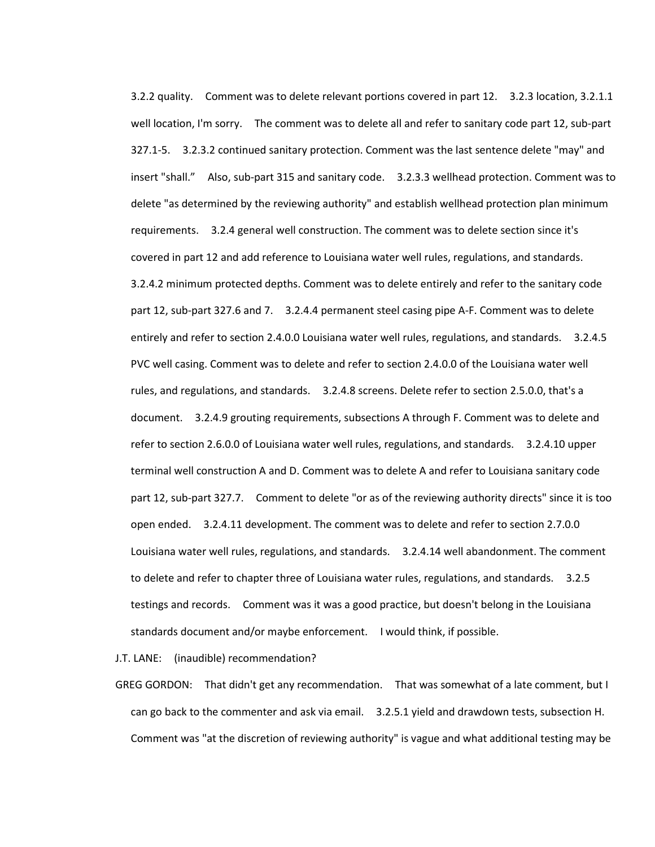3.2.2 quality. Comment was to delete relevant portions covered in part 12. 3.2.3 location, 3.2.1.1 well location, I'm sorry. The comment was to delete all and refer to sanitary code part 12, sub-part 327.1-5. 3.2.3.2 continued sanitary protection. Comment was the last sentence delete "may" and insert "shall." Also, sub-part 315 and sanitary code. 3.2.3.3 wellhead protection. Comment was to delete "as determined by the reviewing authority" and establish wellhead protection plan minimum requirements. 3.2.4 general well construction. The comment was to delete section since it's covered in part 12 and add reference to Louisiana water well rules, regulations, and standards. 3.2.4.2 minimum protected depths. Comment was to delete entirely and refer to the sanitary code part 12, sub-part 327.6 and 7. 3.2.4.4 permanent steel casing pipe A-F. Comment was to delete entirely and refer to section 2.4.0.0 Louisiana water well rules, regulations, and standards. 3.2.4.5 PVC well casing. Comment was to delete and refer to section 2.4.0.0 of the Louisiana water well rules, and regulations, and standards. 3.2.4.8 screens. Delete refer to section 2.5.0.0, that's a document. 3.2.4.9 grouting requirements, subsections A through F. Comment was to delete and refer to section 2.6.0.0 of Louisiana water well rules, regulations, and standards. 3.2.4.10 upper terminal well construction A and D. Comment was to delete A and refer to Louisiana sanitary code part 12, sub-part 327.7. Comment to delete "or as of the reviewing authority directs" since it is too open ended. 3.2.4.11 development. The comment was to delete and refer to section 2.7.0.0 Louisiana water well rules, regulations, and standards. 3.2.4.14 well abandonment. The comment to delete and refer to chapter three of Louisiana water rules, regulations, and standards. 3.2.5 testings and records. Comment was it was a good practice, but doesn't belong in the Louisiana standards document and/or maybe enforcement. I would think, if possible.

J.T. LANE: (inaudible) recommendation?

GREG GORDON: That didn't get any recommendation. That was somewhat of a late comment, but I can go back to the commenter and ask via email. 3.2.5.1 yield and drawdown tests, subsection H. Comment was "at the discretion of reviewing authority" is vague and what additional testing may be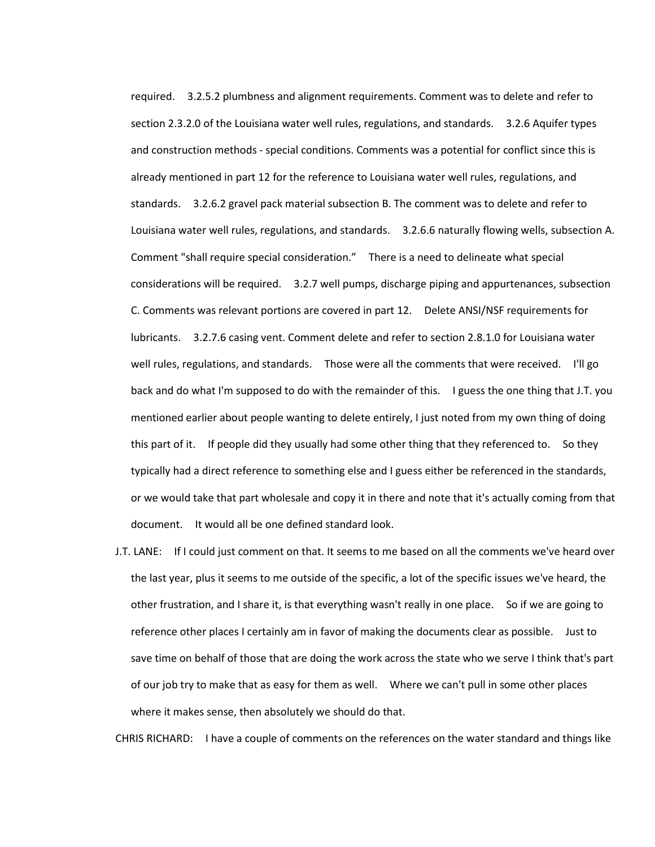required. 3.2.5.2 plumbness and alignment requirements. Comment was to delete and refer to section 2.3.2.0 of the Louisiana water well rules, regulations, and standards. 3.2.6 Aquifer types and construction methods - special conditions. Comments was a potential for conflict since this is already mentioned in part 12 for the reference to Louisiana water well rules, regulations, and standards. 3.2.6.2 gravel pack material subsection B. The comment was to delete and refer to Louisiana water well rules, regulations, and standards. 3.2.6.6 naturally flowing wells, subsection A. Comment "shall require special consideration." There is a need to delineate what special considerations will be required. 3.2.7 well pumps, discharge piping and appurtenances, subsection C. Comments was relevant portions are covered in part 12. Delete ANSI/NSF requirements for lubricants. 3.2.7.6 casing vent. Comment delete and refer to section 2.8.1.0 for Louisiana water well rules, regulations, and standards. Those were all the comments that were received. I'll go back and do what I'm supposed to do with the remainder of this. I guess the one thing that J.T. you mentioned earlier about people wanting to delete entirely, I just noted from my own thing of doing this part of it. If people did they usually had some other thing that they referenced to. So they typically had a direct reference to something else and I guess either be referenced in the standards, or we would take that part wholesale and copy it in there and note that it's actually coming from that document. It would all be one defined standard look.

J.T. LANE: If I could just comment on that. It seems to me based on all the comments we've heard over the last year, plus it seems to me outside of the specific, a lot of the specific issues we've heard, the other frustration, and I share it, is that everything wasn't really in one place. So if we are going to reference other places I certainly am in favor of making the documents clear as possible. Just to save time on behalf of those that are doing the work across the state who we serve I think that's part of our job try to make that as easy for them as well. Where we can't pull in some other places where it makes sense, then absolutely we should do that.

CHRIS RICHARD: I have a couple of comments on the references on the water standard and things like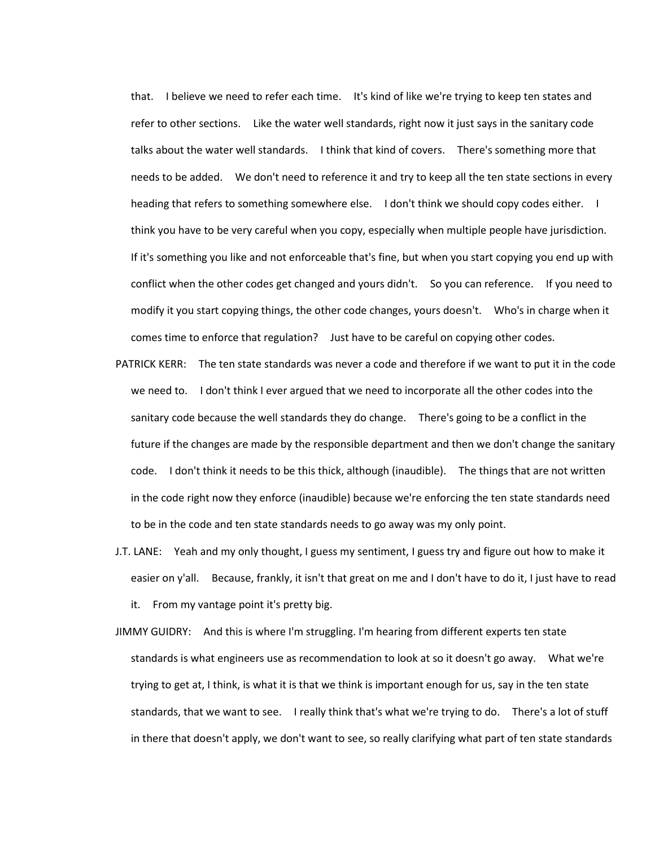that. I believe we need to refer each time. It's kind of like we're trying to keep ten states and refer to other sections. Like the water well standards, right now it just says in the sanitary code talks about the water well standards. I think that kind of covers. There's something more that needs to be added. We don't need to reference it and try to keep all the ten state sections in every heading that refers to something somewhere else. I don't think we should copy codes either. I think you have to be very careful when you copy, especially when multiple people have jurisdiction. If it's something you like and not enforceable that's fine, but when you start copying you end up with conflict when the other codes get changed and yours didn't. So you can reference. If you need to modify it you start copying things, the other code changes, yours doesn't. Who's in charge when it comes time to enforce that regulation? Just have to be careful on copying other codes.

- PATRICK KERR: The ten state standards was never a code and therefore if we want to put it in the code we need to. I don't think I ever argued that we need to incorporate all the other codes into the sanitary code because the well standards they do change. There's going to be a conflict in the future if the changes are made by the responsible department and then we don't change the sanitary code. I don't think it needs to be this thick, although (inaudible). The things that are not written in the code right now they enforce (inaudible) because we're enforcing the ten state standards need to be in the code and ten state standards needs to go away was my only point.
- J.T. LANE: Yeah and my only thought, I guess my sentiment, I guess try and figure out how to make it easier on y'all. Because, frankly, it isn't that great on me and I don't have to do it, I just have to read it. From my vantage point it's pretty big.

JIMMY GUIDRY: And this is where I'm struggling. I'm hearing from different experts ten state standards is what engineers use as recommendation to look at so it doesn't go away. What we're trying to get at, I think, is what it is that we think is important enough for us, say in the ten state standards, that we want to see. I really think that's what we're trying to do. There's a lot of stuff in there that doesn't apply, we don't want to see, so really clarifying what part of ten state standards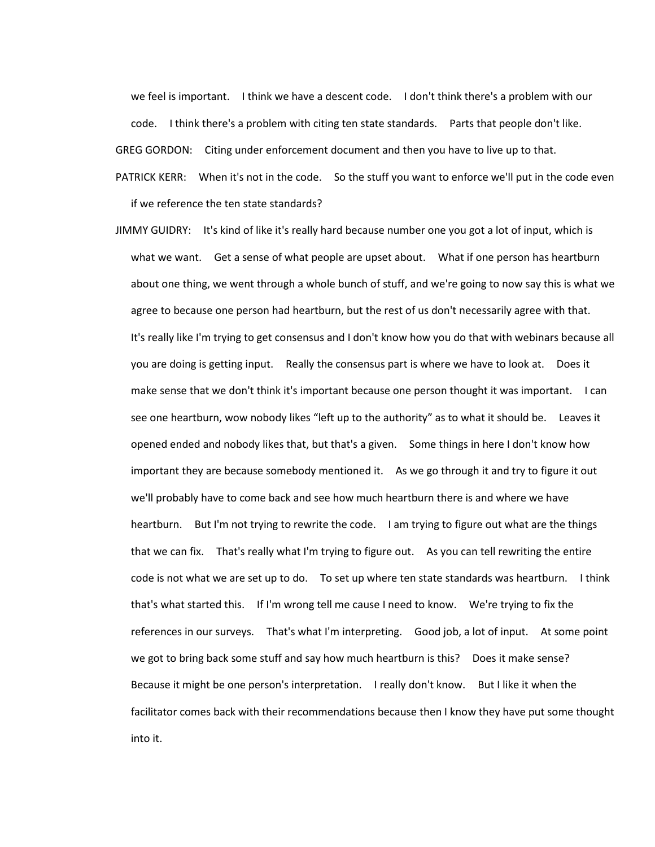we feel is important. I think we have a descent code. I don't think there's a problem with our code. I think there's a problem with citing ten state standards. Parts that people don't like. GREG GORDON: Citing under enforcement document and then you have to live up to that.

PATRICK KERR: When it's not in the code. So the stuff you want to enforce we'll put in the code even if we reference the ten state standards?

JIMMY GUIDRY: It's kind of like it's really hard because number one you got a lot of input, which is what we want. Get a sense of what people are upset about. What if one person has heartburn about one thing, we went through a whole bunch of stuff, and we're going to now say this is what we agree to because one person had heartburn, but the rest of us don't necessarily agree with that. It's really like I'm trying to get consensus and I don't know how you do that with webinars because all you are doing is getting input. Really the consensus part is where we have to look at. Does it make sense that we don't think it's important because one person thought it was important. I can see one heartburn, wow nobody likes "left up to the authority" as to what it should be. Leaves it opened ended and nobody likes that, but that's a given. Some things in here I don't know how important they are because somebody mentioned it. As we go through it and try to figure it out we'll probably have to come back and see how much heartburn there is and where we have heartburn. But I'm not trying to rewrite the code. I am trying to figure out what are the things that we can fix. That's really what I'm trying to figure out. As you can tell rewriting the entire code is not what we are set up to do. To set up where ten state standards was heartburn. I think that's what started this. If I'm wrong tell me cause I need to know. We're trying to fix the references in our surveys. That's what I'm interpreting. Good job, a lot of input. At some point we got to bring back some stuff and say how much heartburn is this? Does it make sense? Because it might be one person's interpretation. I really don't know. But I like it when the facilitator comes back with their recommendations because then I know they have put some thought into it.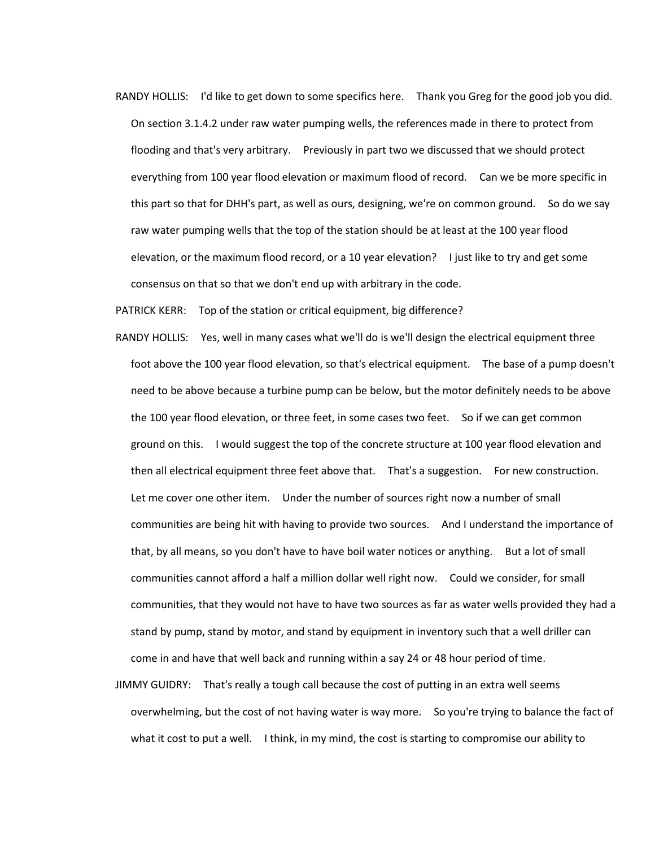RANDY HOLLIS: I'd like to get down to some specifics here. Thank you Greg for the good job you did. On section 3.1.4.2 under raw water pumping wells, the references made in there to protect from flooding and that's very arbitrary. Previously in part two we discussed that we should protect everything from 100 year flood elevation or maximum flood of record. Can we be more specific in this part so that for DHH's part, as well as ours, designing, we're on common ground. So do we say raw water pumping wells that the top of the station should be at least at the 100 year flood elevation, or the maximum flood record, or a 10 year elevation? I just like to try and get some consensus on that so that we don't end up with arbitrary in the code.

PATRICK KERR: Top of the station or critical equipment, big difference?

- RANDY HOLLIS: Yes, well in many cases what we'll do is we'll design the electrical equipment three foot above the 100 year flood elevation, so that's electrical equipment. The base of a pump doesn't need to be above because a turbine pump can be below, but the motor definitely needs to be above the 100 year flood elevation, or three feet, in some cases two feet. So if we can get common ground on this. I would suggest the top of the concrete structure at 100 year flood elevation and then all electrical equipment three feet above that. That's a suggestion. For new construction. Let me cover one other item. Under the number of sources right now a number of small communities are being hit with having to provide two sources. And I understand the importance of that, by all means, so you don't have to have boil water notices or anything. But a lot of small communities cannot afford a half a million dollar well right now. Could we consider, for small communities, that they would not have to have two sources as far as water wells provided they had a stand by pump, stand by motor, and stand by equipment in inventory such that a well driller can come in and have that well back and running within a say 24 or 48 hour period of time.
- JIMMY GUIDRY: That's really a tough call because the cost of putting in an extra well seems overwhelming, but the cost of not having water is way more. So you're trying to balance the fact of what it cost to put a well. I think, in my mind, the cost is starting to compromise our ability to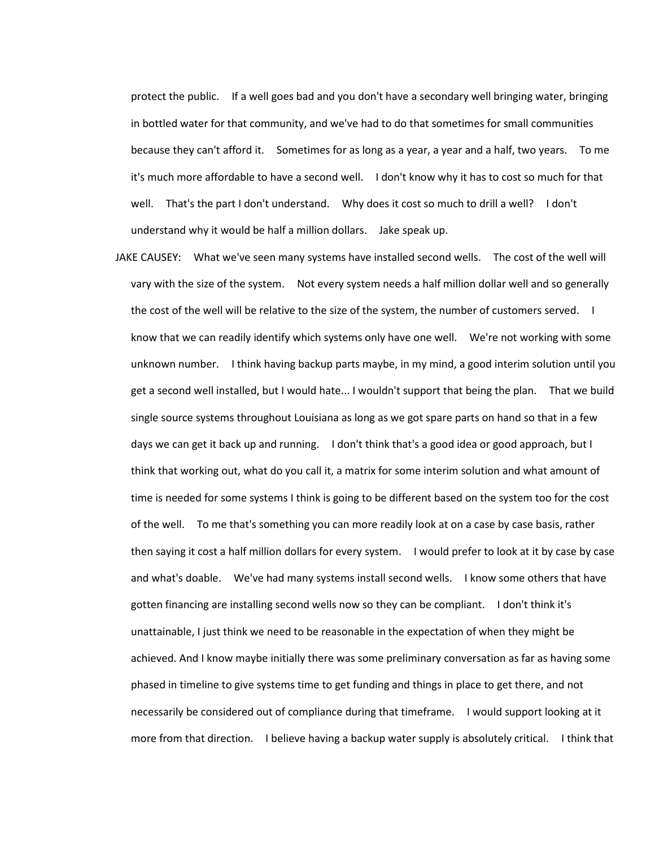protect the public. If a well goes bad and you don't have a secondary well bringing water, bringing in bottled water for that community, and we've had to do that sometimes for small communities because they can't afford it. Sometimes for as long as a year, a year and a half, two years. To me it's much more affordable to have a second well. I don't know why it has to cost so much for that well. That's the part I don't understand. Why does it cost so much to drill a well? I don't understand why it would be half a million dollars. Jake speak up.

JAKE CAUSEY: What we've seen many systems have installed second wells. The cost of the well will vary with the size of the system. Not every system needs a half million dollar well and so generally the cost of the well will be relative to the size of the system, the number of customers served. I know that we can readily identify which systems only have one well. We're not working with some unknown number. I think having backup parts maybe, in my mind, a good interim solution until you get a second well installed, but I would hate... I wouldn't support that being the plan. That we build single source systems throughout Louisiana as long as we got spare parts on hand so that in a few days we can get it back up and running. I don't think that's a good idea or good approach, but I think that working out, what do you call it, a matrix for some interim solution and what amount of time is needed for some systems I think is going to be different based on the system too for the cost of the well. To me that's something you can more readily look at on a case by case basis, rather then saying it cost a half million dollars for every system. I would prefer to look at it by case by case and what's doable. We've had many systems install second wells. I know some others that have gotten financing are installing second wells now so they can be compliant. I don't think it's unattainable, I just think we need to be reasonable in the expectation of when they might be achieved. And I know maybe initially there was some preliminary conversation as far as having some phased in timeline to give systems time to get funding and things in place to get there, and not necessarily be considered out of compliance during that timeframe. I would support looking at it more from that direction. I believe having a backup water supply is absolutely critical. I think that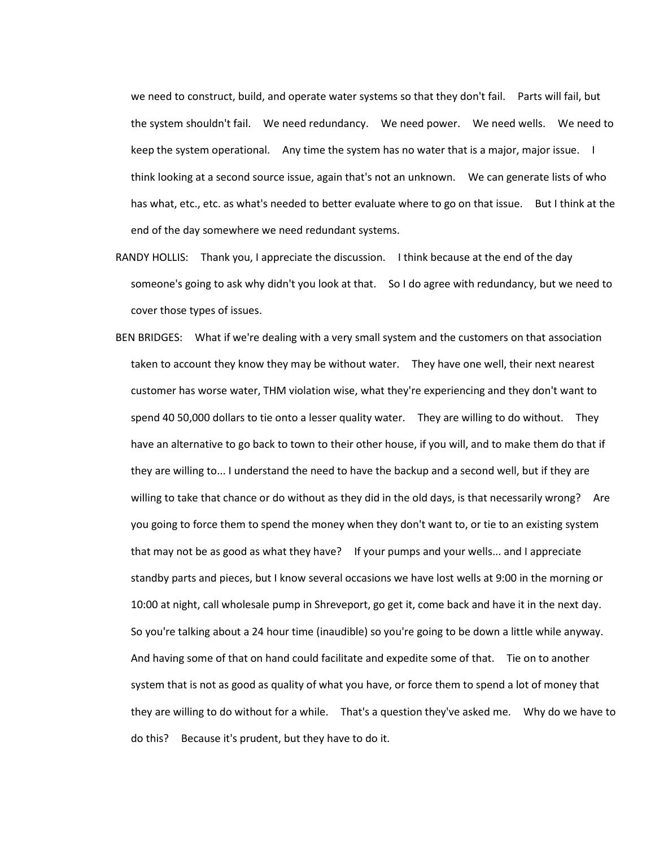we need to construct, build, and operate water systems so that they don't fail. Parts will fail, but the system shouldn't fail. We need redundancy. We need power. We need wells. We need to keep the system operational. Any time the system has no water that is a major, major issue. I think looking at a second source issue, again that's not an unknown. We can generate lists of who has what, etc., etc. as what's needed to better evaluate where to go on that issue. But I think at the end of the day somewhere we need redundant systems.

- RANDY HOLLIS: Thank you, I appreciate the discussion. I think because at the end of the day someone's going to ask why didn't you look at that. So I do agree with redundancy, but we need to cover those types of issues.
- BEN BRIDGES: What if we're dealing with a very small system and the customers on that association taken to account they know they may be without water. They have one well, their next nearest customer has worse water, THM violation wise, what they're experiencing and they don't want to spend 40 50,000 dollars to tie onto a lesser quality water. They are willing to do without. They have an alternative to go back to town to their other house, if you will, and to make them do that if they are willing to... I understand the need to have the backup and a second well, but if they are willing to take that chance or do without as they did in the old days, is that necessarily wrong? Are you going to force them to spend the money when they don't want to, or tie to an existing system that may not be as good as what they have? If your pumps and your wells... and I appreciate standby parts and pieces, but I know several occasions we have lost wells at 9:00 in the morning or 10:00 at night, call wholesale pump in Shreveport, go get it, come back and have it in the next day. So you're talking about a 24 hour time (inaudible) so you're going to be down a little while anyway. And having some of that on hand could facilitate and expedite some of that. Tie on to another system that is not as good as quality of what you have, or force them to spend a lot of money that they are willing to do without for a while. That's a question they've asked me. Why do we have to do this? Because it's prudent, but they have to do it.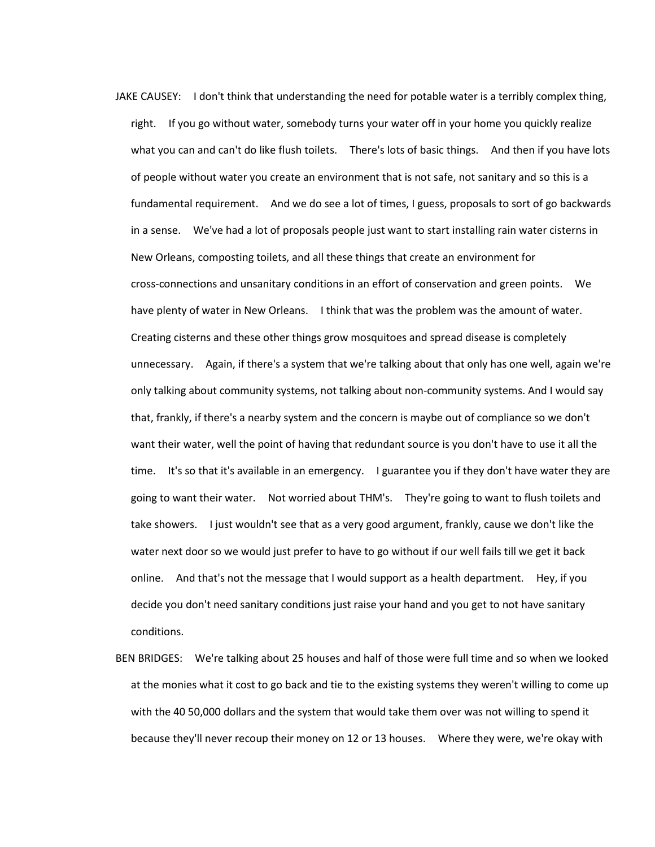JAKE CAUSEY: I don't think that understanding the need for potable water is a terribly complex thing, right. If you go without water, somebody turns your water off in your home you quickly realize what you can and can't do like flush toilets. There's lots of basic things. And then if you have lots of people without water you create an environment that is not safe, not sanitary and so this is a fundamental requirement. And we do see a lot of times, I guess, proposals to sort of go backwards in a sense. We've had a lot of proposals people just want to start installing rain water cisterns in New Orleans, composting toilets, and all these things that create an environment for cross-connections and unsanitary conditions in an effort of conservation and green points. We have plenty of water in New Orleans. I think that was the problem was the amount of water. Creating cisterns and these other things grow mosquitoes and spread disease is completely unnecessary. Again, if there's a system that we're talking about that only has one well, again we're only talking about community systems, not talking about non-community systems. And I would say that, frankly, if there's a nearby system and the concern is maybe out of compliance so we don't want their water, well the point of having that redundant source is you don't have to use it all the time. It's so that it's available in an emergency. I guarantee you if they don't have water they are going to want their water. Not worried about THM's. They're going to want to flush toilets and take showers. I just wouldn't see that as a very good argument, frankly, cause we don't like the water next door so we would just prefer to have to go without if our well fails till we get it back online. And that's not the message that I would support as a health department. Hey, if you decide you don't need sanitary conditions just raise your hand and you get to not have sanitary conditions.

BEN BRIDGES: We're talking about 25 houses and half of those were full time and so when we looked at the monies what it cost to go back and tie to the existing systems they weren't willing to come up with the 40 50,000 dollars and the system that would take them over was not willing to spend it because they'll never recoup their money on 12 or 13 houses. Where they were, we're okay with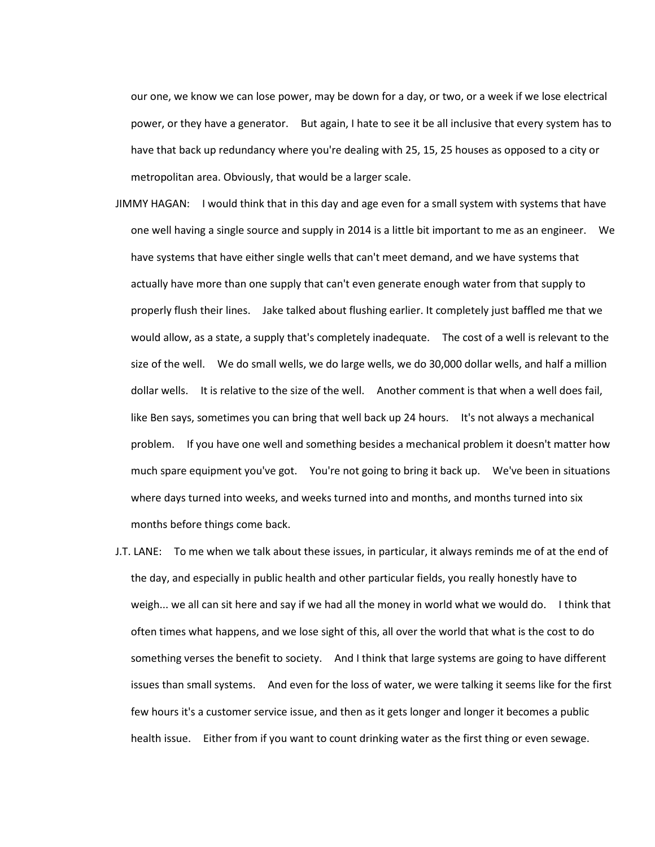our one, we know we can lose power, may be down for a day, or two, or a week if we lose electrical power, or they have a generator. But again, I hate to see it be all inclusive that every system has to have that back up redundancy where you're dealing with 25, 15, 25 houses as opposed to a city or metropolitan area. Obviously, that would be a larger scale.

- JIMMY HAGAN: I would think that in this day and age even for a small system with systems that have one well having a single source and supply in 2014 is a little bit important to me as an engineer. We have systems that have either single wells that can't meet demand, and we have systems that actually have more than one supply that can't even generate enough water from that supply to properly flush their lines. Jake talked about flushing earlier. It completely just baffled me that we would allow, as a state, a supply that's completely inadequate. The cost of a well is relevant to the size of the well. We do small wells, we do large wells, we do 30,000 dollar wells, and half a million dollar wells. It is relative to the size of the well. Another comment is that when a well does fail, like Ben says, sometimes you can bring that well back up 24 hours. It's not always a mechanical problem. If you have one well and something besides a mechanical problem it doesn't matter how much spare equipment you've got. You're not going to bring it back up. We've been in situations where days turned into weeks, and weeks turned into and months, and months turned into six months before things come back.
- J.T. LANE: To me when we talk about these issues, in particular, it always reminds me of at the end of the day, and especially in public health and other particular fields, you really honestly have to weigh... we all can sit here and say if we had all the money in world what we would do. I think that often times what happens, and we lose sight of this, all over the world that what is the cost to do something verses the benefit to society. And I think that large systems are going to have different issues than small systems. And even for the loss of water, we were talking it seems like for the first few hours it's a customer service issue, and then as it gets longer and longer it becomes a public health issue. Either from if you want to count drinking water as the first thing or even sewage.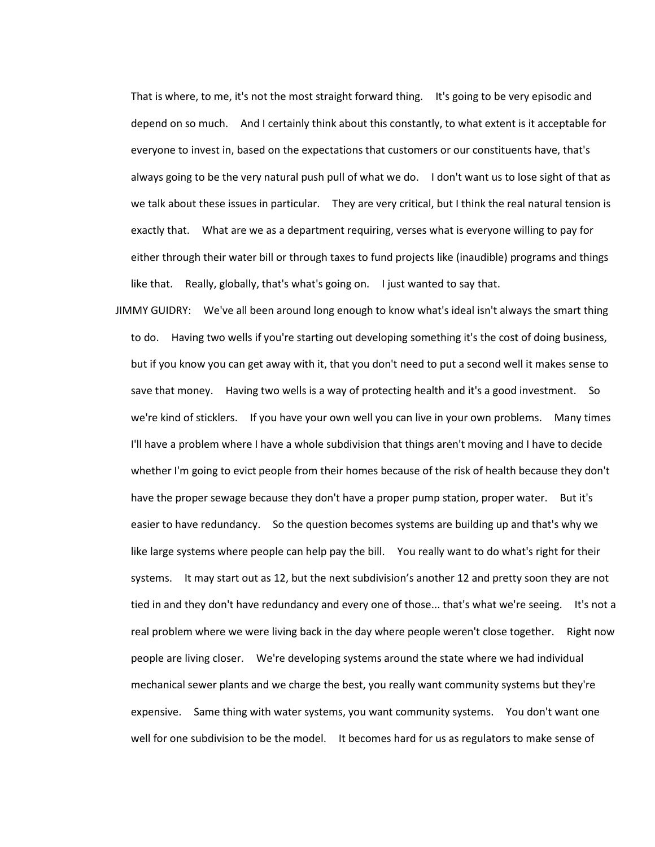That is where, to me, it's not the most straight forward thing. It's going to be very episodic and depend on so much. And I certainly think about this constantly, to what extent is it acceptable for everyone to invest in, based on the expectations that customers or our constituents have, that's always going to be the very natural push pull of what we do. I don't want us to lose sight of that as we talk about these issues in particular. They are very critical, but I think the real natural tension is exactly that. What are we as a department requiring, verses what is everyone willing to pay for either through their water bill or through taxes to fund projects like (inaudible) programs and things like that. Really, globally, that's what's going on. I just wanted to say that.

JIMMY GUIDRY: We've all been around long enough to know what's ideal isn't always the smart thing to do. Having two wells if you're starting out developing something it's the cost of doing business, but if you know you can get away with it, that you don't need to put a second well it makes sense to save that money. Having two wells is a way of protecting health and it's a good investment. So we're kind of sticklers. If you have your own well you can live in your own problems. Many times I'll have a problem where I have a whole subdivision that things aren't moving and I have to decide whether I'm going to evict people from their homes because of the risk of health because they don't have the proper sewage because they don't have a proper pump station, proper water. But it's easier to have redundancy. So the question becomes systems are building up and that's why we like large systems where people can help pay the bill. You really want to do what's right for their systems. It may start out as 12, but the next subdivision's another 12 and pretty soon they are not tied in and they don't have redundancy and every one of those... that's what we're seeing. It's not a real problem where we were living back in the day where people weren't close together. Right now people are living closer. We're developing systems around the state where we had individual mechanical sewer plants and we charge the best, you really want community systems but they're expensive. Same thing with water systems, you want community systems. You don't want one well for one subdivision to be the model. It becomes hard for us as regulators to make sense of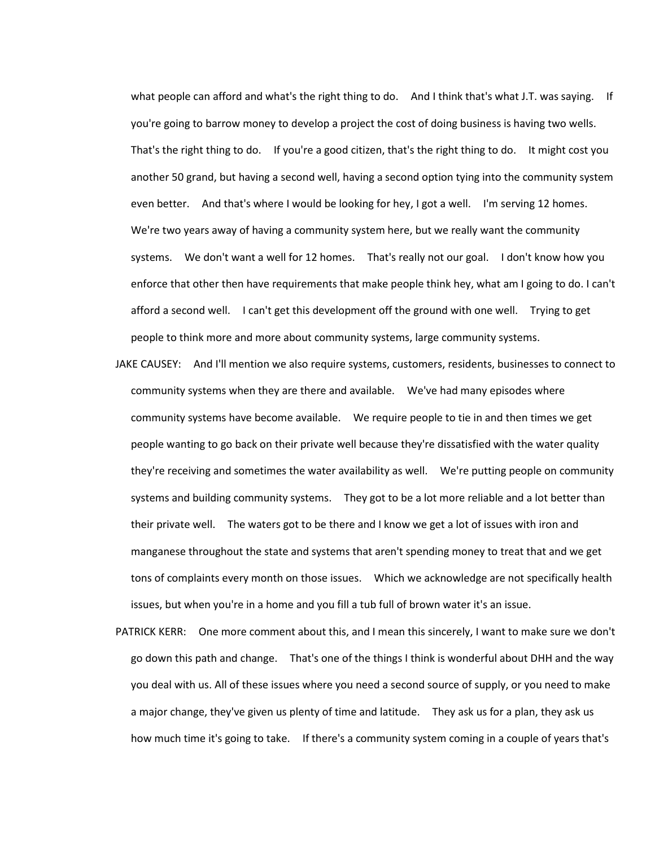what people can afford and what's the right thing to do. And I think that's what J.T. was saying. If you're going to barrow money to develop a project the cost of doing business is having two wells. That's the right thing to do. If you're a good citizen, that's the right thing to do. It might cost you another 50 grand, but having a second well, having a second option tying into the community system even better. And that's where I would be looking for hey, I got a well. I'm serving 12 homes. We're two years away of having a community system here, but we really want the community systems. We don't want a well for 12 homes. That's really not our goal. I don't know how you enforce that other then have requirements that make people think hey, what am I going to do. I can't afford a second well. I can't get this development off the ground with one well. Trying to get people to think more and more about community systems, large community systems.

- JAKE CAUSEY: And I'll mention we also require systems, customers, residents, businesses to connect to community systems when they are there and available. We've had many episodes where community systems have become available. We require people to tie in and then times we get people wanting to go back on their private well because they're dissatisfied with the water quality they're receiving and sometimes the water availability as well. We're putting people on community systems and building community systems. They got to be a lot more reliable and a lot better than their private well. The waters got to be there and I know we get a lot of issues with iron and manganese throughout the state and systems that aren't spending money to treat that and we get tons of complaints every month on those issues. Which we acknowledge are not specifically health issues, but when you're in a home and you fill a tub full of brown water it's an issue.
- PATRICK KERR: One more comment about this, and I mean this sincerely, I want to make sure we don't go down this path and change. That's one of the things I think is wonderful about DHH and the way you deal with us. All of these issues where you need a second source of supply, or you need to make a major change, they've given us plenty of time and latitude. They ask us for a plan, they ask us how much time it's going to take. If there's a community system coming in a couple of years that's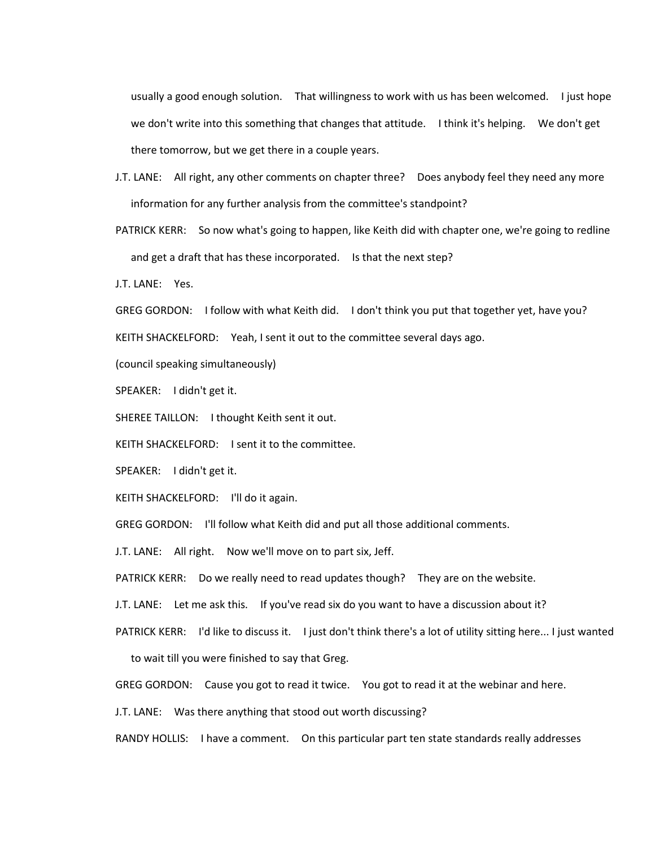usually a good enough solution. That willingness to work with us has been welcomed. I just hope we don't write into this something that changes that attitude. I think it's helping. We don't get there tomorrow, but we get there in a couple years.

J.T. LANE: All right, any other comments on chapter three? Does anybody feel they need any more information for any further analysis from the committee's standpoint?

PATRICK KERR: So now what's going to happen, like Keith did with chapter one, we're going to redline and get a draft that has these incorporated. Is that the next step?

J.T. LANE: Yes.

GREG GORDON: I follow with what Keith did. I don't think you put that together yet, have you? KEITH SHACKELFORD: Yeah, I sent it out to the committee several days ago.

(council speaking simultaneously)

SPEAKER: I didn't get it.

SHEREE TAILLON: I thought Keith sent it out.

KEITH SHACKELFORD: I sent it to the committee.

SPEAKER: I didn't get it.

KEITH SHACKELFORD: I'll do it again.

GREG GORDON: I'll follow what Keith did and put all those additional comments.

J.T. LANE: All right. Now we'll move on to part six, Jeff.

PATRICK KERR: Do we really need to read updates though? They are on the website.

J.T. LANE: Let me ask this. If you've read six do you want to have a discussion about it?

PATRICK KERR: I'd like to discuss it. I just don't think there's a lot of utility sitting here... I just wanted

to wait till you were finished to say that Greg.

GREG GORDON: Cause you got to read it twice. You got to read it at the webinar and here.

J.T. LANE: Was there anything that stood out worth discussing?

RANDY HOLLIS: I have a comment. On this particular part ten state standards really addresses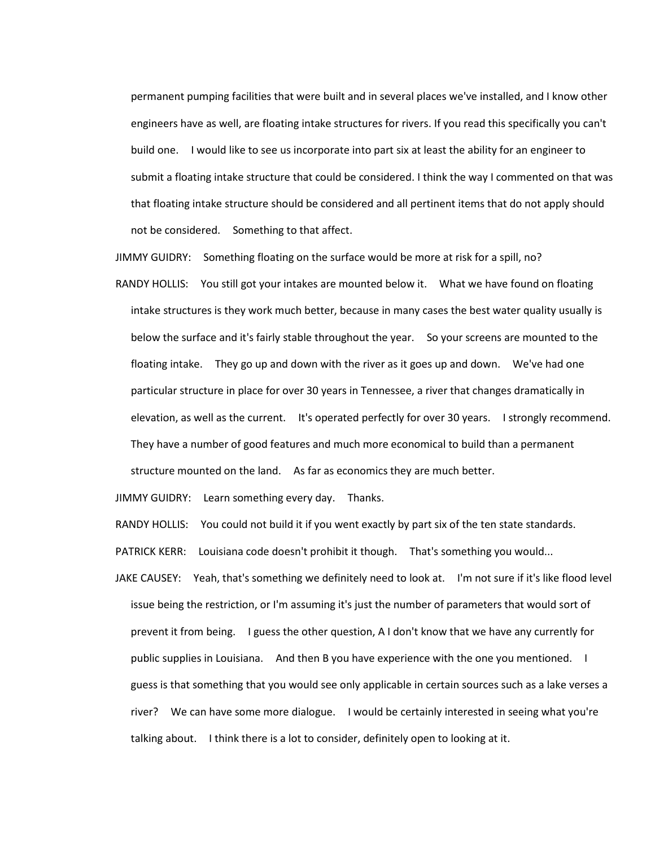permanent pumping facilities that were built and in several places we've installed, and I know other engineers have as well, are floating intake structures for rivers. If you read this specifically you can't build one. I would like to see us incorporate into part six at least the ability for an engineer to submit a floating intake structure that could be considered. I think the way I commented on that was that floating intake structure should be considered and all pertinent items that do not apply should not be considered. Something to that affect.

JIMMY GUIDRY: Something floating on the surface would be more at risk for a spill, no?

RANDY HOLLIS: You still got your intakes are mounted below it. What we have found on floating intake structures is they work much better, because in many cases the best water quality usually is below the surface and it's fairly stable throughout the year. So your screens are mounted to the floating intake. They go up and down with the river as it goes up and down. We've had one particular structure in place for over 30 years in Tennessee, a river that changes dramatically in elevation, as well as the current. It's operated perfectly for over 30 years. I strongly recommend. They have a number of good features and much more economical to build than a permanent structure mounted on the land. As far as economics they are much better.

JIMMY GUIDRY: Learn something every day. Thanks.

RANDY HOLLIS: You could not build it if you went exactly by part six of the ten state standards.

PATRICK KERR: Louisiana code doesn't prohibit it though. That's something you would...

JAKE CAUSEY: Yeah, that's something we definitely need to look at. I'm not sure if it's like flood level issue being the restriction, or I'm assuming it's just the number of parameters that would sort of prevent it from being. I guess the other question, A I don't know that we have any currently for public supplies in Louisiana. And then B you have experience with the one you mentioned. I guess is that something that you would see only applicable in certain sources such as a lake verses a river? We can have some more dialogue. I would be certainly interested in seeing what you're talking about. I think there is a lot to consider, definitely open to looking at it.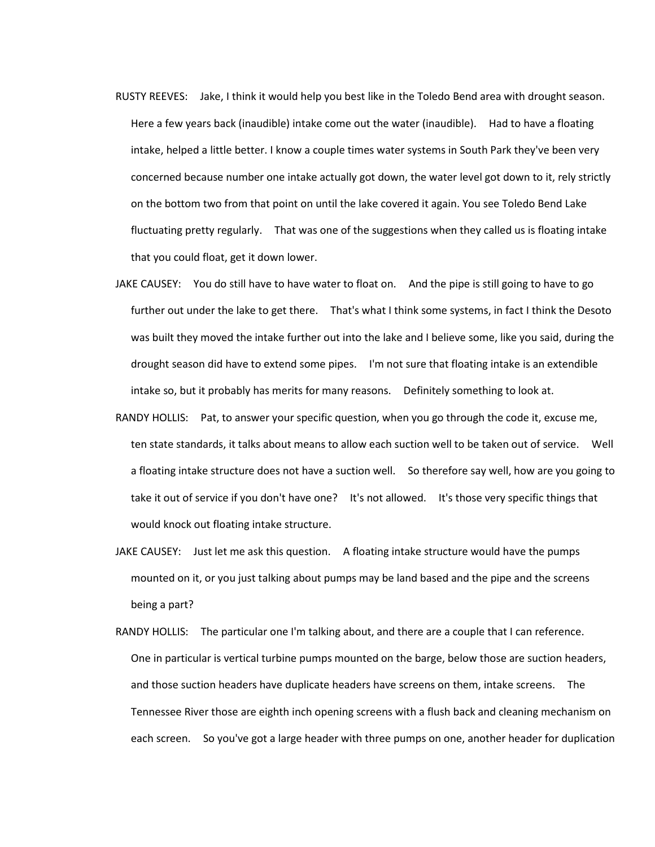- RUSTY REEVES: Jake, I think it would help you best like in the Toledo Bend area with drought season. Here a few years back (inaudible) intake come out the water (inaudible). Had to have a floating intake, helped a little better. I know a couple times water systems in South Park they've been very concerned because number one intake actually got down, the water level got down to it, rely strictly on the bottom two from that point on until the lake covered it again. You see Toledo Bend Lake fluctuating pretty regularly. That was one of the suggestions when they called us is floating intake that you could float, get it down lower.
- JAKE CAUSEY: You do still have to have water to float on. And the pipe is still going to have to go further out under the lake to get there. That's what I think some systems, in fact I think the Desoto was built they moved the intake further out into the lake and I believe some, like you said, during the drought season did have to extend some pipes. I'm not sure that floating intake is an extendible intake so, but it probably has merits for many reasons. Definitely something to look at.
- RANDY HOLLIS: Pat, to answer your specific question, when you go through the code it, excuse me, ten state standards, it talks about means to allow each suction well to be taken out of service. Well a floating intake structure does not have a suction well. So therefore say well, how are you going to take it out of service if you don't have one? It's not allowed. It's those very specific things that would knock out floating intake structure.
- JAKE CAUSEY: Just let me ask this question. A floating intake structure would have the pumps mounted on it, or you just talking about pumps may be land based and the pipe and the screens being a part?
- RANDY HOLLIS: The particular one I'm talking about, and there are a couple that I can reference. One in particular is vertical turbine pumps mounted on the barge, below those are suction headers, and those suction headers have duplicate headers have screens on them, intake screens. The Tennessee River those are eighth inch opening screens with a flush back and cleaning mechanism on each screen. So you've got a large header with three pumps on one, another header for duplication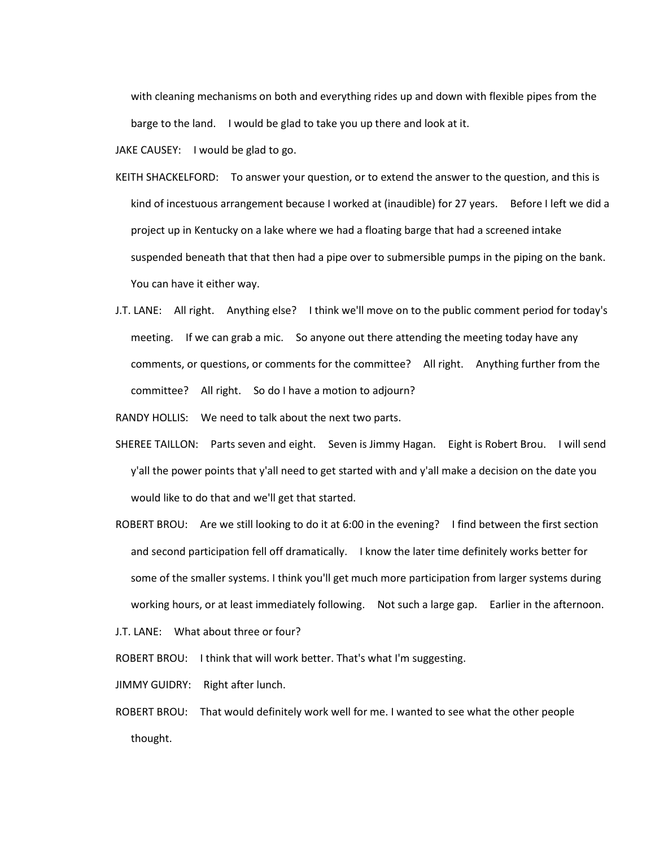with cleaning mechanisms on both and everything rides up and down with flexible pipes from the barge to the land. I would be glad to take you up there and look at it.

JAKE CAUSEY: I would be glad to go.

- KEITH SHACKELFORD: To answer your question, or to extend the answer to the question, and this is kind of incestuous arrangement because I worked at (inaudible) for 27 years. Before I left we did a project up in Kentucky on a lake where we had a floating barge that had a screened intake suspended beneath that that then had a pipe over to submersible pumps in the piping on the bank. You can have it either way.
- J.T. LANE: All right. Anything else? I think we'll move on to the public comment period for today's meeting. If we can grab a mic. So anyone out there attending the meeting today have any comments, or questions, or comments for the committee? All right. Anything further from the committee? All right. So do I have a motion to adjourn?

RANDY HOLLIS: We need to talk about the next two parts.

- SHEREE TAILLON: Parts seven and eight. Seven is Jimmy Hagan. Eight is Robert Brou. I will send y'all the power points that y'all need to get started with and y'all make a decision on the date you would like to do that and we'll get that started.
- ROBERT BROU: Are we still looking to do it at 6:00 in the evening? I find between the first section and second participation fell off dramatically. I know the later time definitely works better for some of the smaller systems. I think you'll get much more participation from larger systems during working hours, or at least immediately following. Not such a large gap. Earlier in the afternoon.
- J.T. LANE: What about three or four?

ROBERT BROU: I think that will work better. That's what I'm suggesting.

JIMMY GUIDRY: Right after lunch.

ROBERT BROU: That would definitely work well for me. I wanted to see what the other people thought.